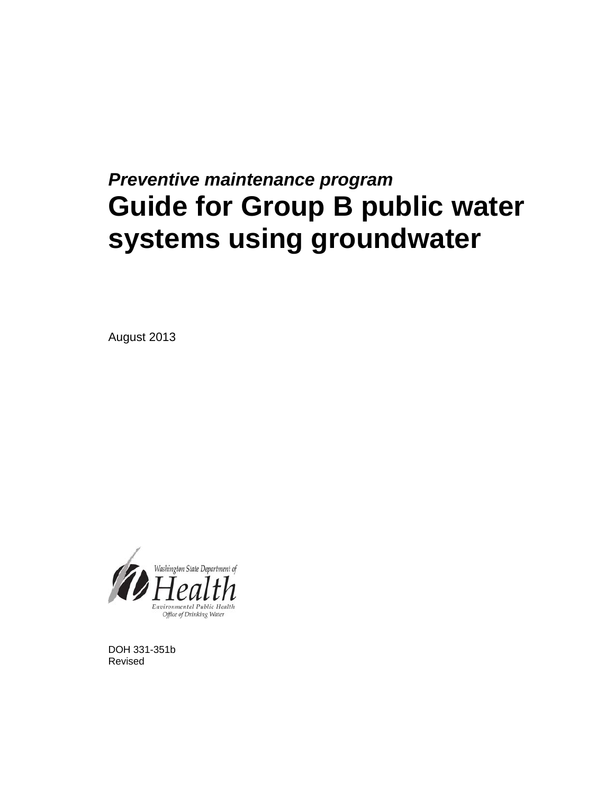### *Preventive maintenance program*  **Guide for Group B public water systems using groundwater**

August 2013



DOH 331-351b Revised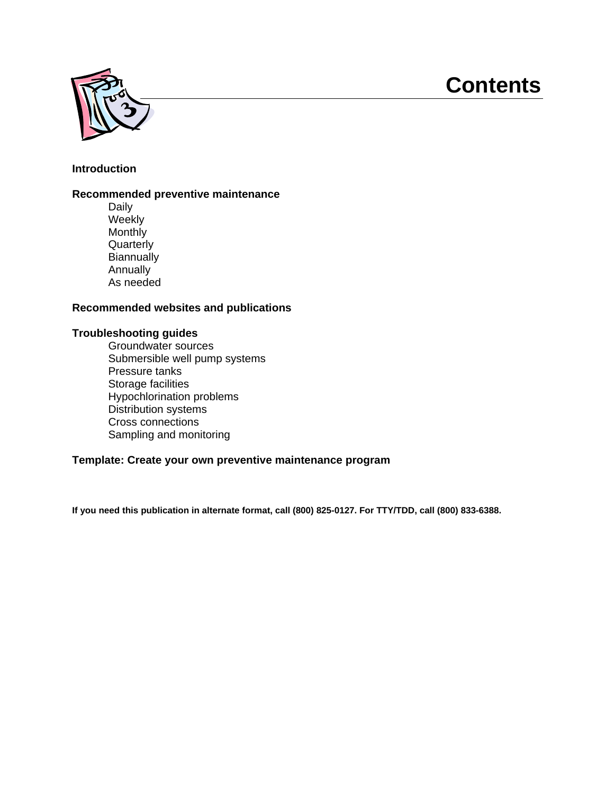### **Contents**



#### **Introduction**

#### **Recommended preventive maintenance**

Daily Weekly **Monthly Quarterly Biannually** Annually As needed

#### **Recommended websites and publications**

#### **Troubleshooting guides**

Groundwater sources Submersible well pump systems Pressure tanks Storage facilities Hypochlorination problems Distribution systems Cross connections Sampling and monitoring

#### **Template: Create your own preventive maintenance program**

**If you need this publication in alternate format, call (800) 825-0127. For TTY/TDD, call (800) 833-6388.**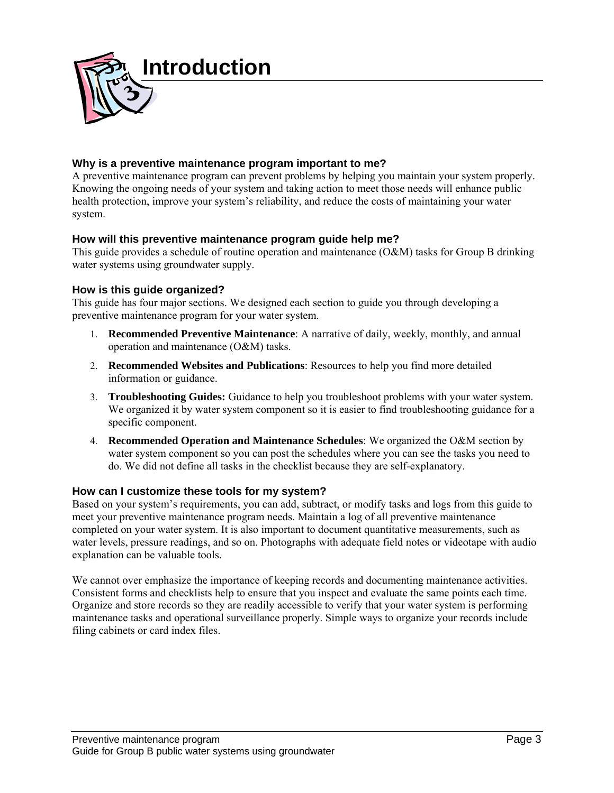

#### **Why is a preventive maintenance program important to me?**

A preventive maintenance program can prevent problems by helping you maintain your system properly. Knowing the ongoing needs of your system and taking action to meet those needs will enhance public health protection, improve your system's reliability, and reduce the costs of maintaining your water system.

#### **How will this preventive maintenance program guide help me?**

This guide provides a schedule of routine operation and maintenance (O&M) tasks for Group B drinking water systems using groundwater supply.

#### **How is this guide organized?**

This guide has four major sections. We designed each section to guide you through developing a preventive maintenance program for your water system.

- 1. **Recommended Preventive Maintenance**: A narrative of daily, weekly, monthly, and annual operation and maintenance (O&M) tasks.
- 2. **Recommended Websites and Publications**: Resources to help you find more detailed information or guidance.
- 3. **Troubleshooting Guides:** Guidance to help you troubleshoot problems with your water system. We organized it by water system component so it is easier to find troubleshooting guidance for a specific component.
- 4. **Recommended Operation and Maintenance Schedules**: We organized the O&M section by water system component so you can post the schedules where you can see the tasks you need to do. We did not define all tasks in the checklist because they are self-explanatory.

#### **How can I customize these tools for my system?**

Based on your system's requirements, you can add, subtract, or modify tasks and logs from this guide to meet your preventive maintenance program needs. Maintain a log of all preventive maintenance completed on your water system. It is also important to document quantitative measurements, such as water levels, pressure readings, and so on. Photographs with adequate field notes or videotape with audio explanation can be valuable tools.

We cannot over emphasize the importance of keeping records and documenting maintenance activities. Consistent forms and checklists help to ensure that you inspect and evaluate the same points each time. Organize and store records so they are readily accessible to verify that your water system is performing maintenance tasks and operational surveillance properly. Simple ways to organize your records include filing cabinets or card index files.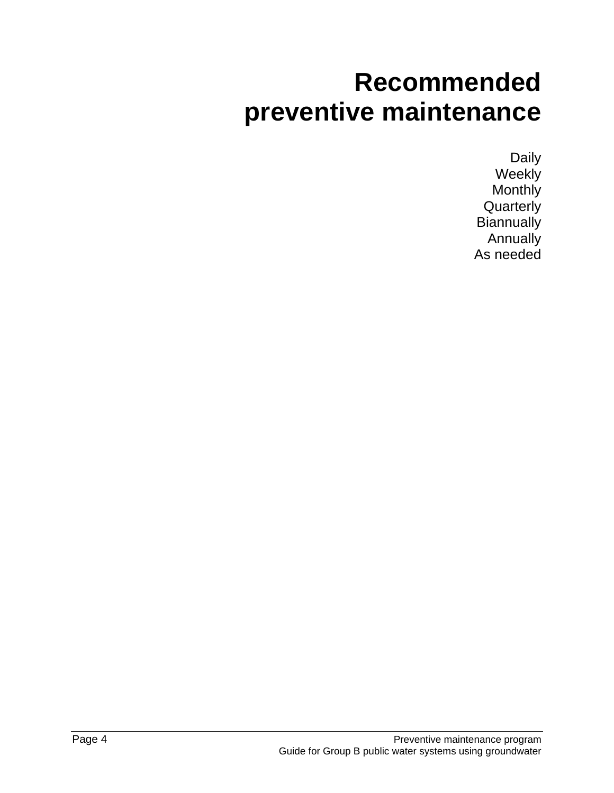## **Recommended preventive maintenance**

Daily **Weekly** Monthly **Quarterly Biannually** Annually As needed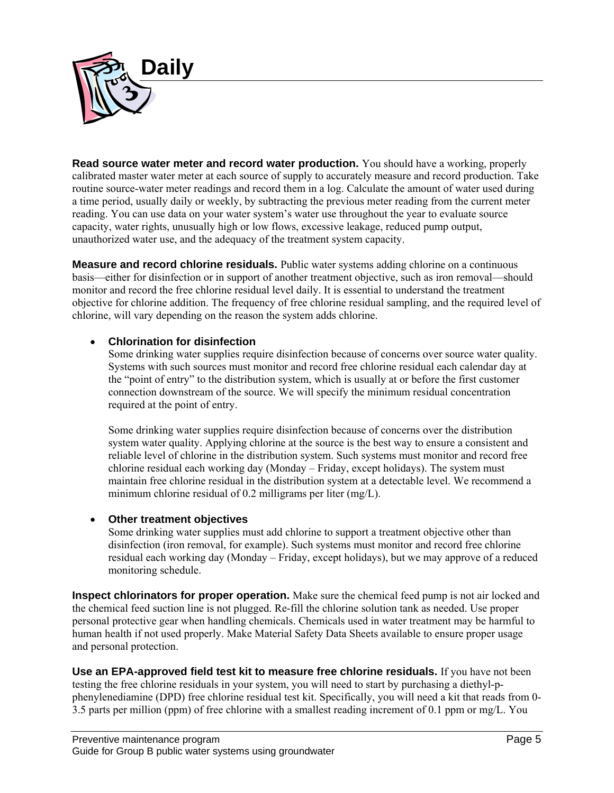

**Read source water meter and record water production.** You should have a working, properly calibrated master water meter at each source of supply to accurately measure and record production. Take routine source-water meter readings and record them in a log. Calculate the amount of water used during a time period, usually daily or weekly, by subtracting the previous meter reading from the current meter reading. You can use data on your water system's water use throughout the year to evaluate source capacity, water rights, unusually high or low flows, excessive leakage, reduced pump output, unauthorized water use, and the adequacy of the treatment system capacity.

**Measure and record chlorine residuals.** Public water systems adding chlorine on a continuous basis—either for disinfection or in support of another treatment objective, such as iron removal—should monitor and record the free chlorine residual level daily. It is essential to understand the treatment objective for chlorine addition. The frequency of free chlorine residual sampling, and the required level of chlorine, will vary depending on the reason the system adds chlorine.

#### **Chlorination for disinfection**

Some drinking water supplies require disinfection because of concerns over source water quality. Systems with such sources must monitor and record free chlorine residual each calendar day at the "point of entry" to the distribution system, which is usually at or before the first customer connection downstream of the source. We will specify the minimum residual concentration required at the point of entry.

Some drinking water supplies require disinfection because of concerns over the distribution system water quality. Applying chlorine at the source is the best way to ensure a consistent and reliable level of chlorine in the distribution system. Such systems must monitor and record free chlorine residual each working day (Monday – Friday, except holidays). The system must maintain free chlorine residual in the distribution system at a detectable level. We recommend a minimum chlorine residual of 0.2 milligrams per liter (mg/L).

#### **Other treatment objectives**

Some drinking water supplies must add chlorine to support a treatment objective other than disinfection (iron removal, for example). Such systems must monitor and record free chlorine residual each working day (Monday – Friday, except holidays), but we may approve of a reduced monitoring schedule.

**Inspect chlorinators for proper operation.** Make sure the chemical feed pump is not air locked and the chemical feed suction line is not plugged. Re-fill the chlorine solution tank as needed. Use proper personal protective gear when handling chemicals. Chemicals used in water treatment may be harmful to human health if not used properly. Make Material Safety Data Sheets available to ensure proper usage and personal protection.

**Use an EPA-approved field test kit to measure free chlorine residuals.** If you have not been testing the free chlorine residuals in your system, you will need to start by purchasing a diethyl-pphenylenediamine (DPD) free chlorine residual test kit. Specifically, you will need a kit that reads from 0- 3.5 parts per million (ppm) of free chlorine with a smallest reading increment of 0.1 ppm or mg/L. You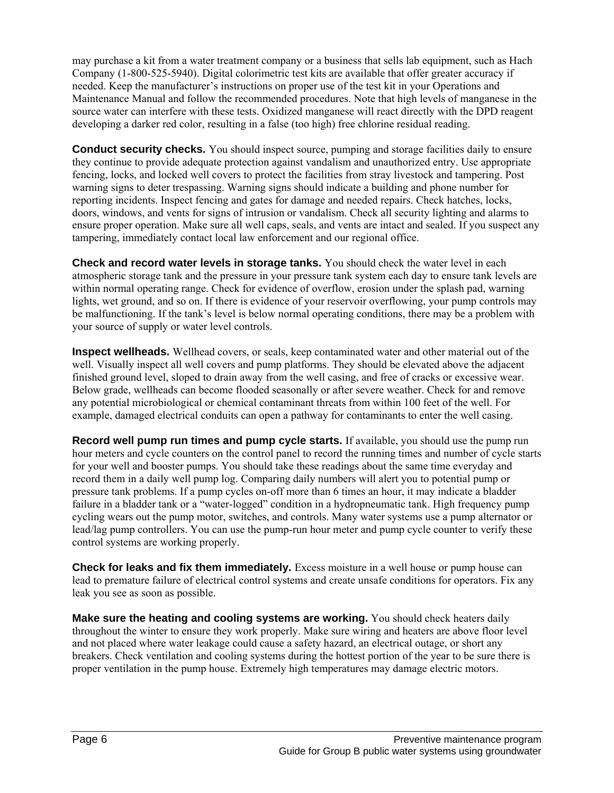may purchase a kit from a water treatment company or a business that sells lab equipment, such as Hach Company (1-800-525-5940). Digital colorimetric test kits are available that offer greater accuracy if needed. Keep the manufacturer's instructions on proper use of the test kit in your Operations and Maintenance Manual and follow the recommended procedures. Note that high levels of manganese in the source water can interfere with these tests. Oxidized manganese will react directly with the DPD reagent developing a darker red color, resulting in a false (too high) free chlorine residual reading.

**Conduct security checks.** You should inspect source, pumping and storage facilities daily to ensure they continue to provide adequate protection against vandalism and unauthorized entry. Use appropriate fencing, locks, and locked well covers to protect the facilities from stray livestock and tampering. Post warning signs to deter trespassing. Warning signs should indicate a building and phone number for reporting incidents. Inspect fencing and gates for damage and needed repairs. Check hatches, locks, doors, windows, and vents for signs of intrusion or vandalism. Check all security lighting and alarms to ensure proper operation. Make sure all well caps, seals, and vents are intact and sealed. If you suspect any tampering, immediately contact local law enforcement and our regional office.

**Check and record water levels in storage tanks.** You should check the water level in each atmospheric storage tank and the pressure in your pressure tank system each day to ensure tank levels are within normal operating range. Check for evidence of overflow, erosion under the splash pad, warning lights, wet ground, and so on. If there is evidence of your reservoir overflowing, your pump controls may be malfunctioning. If the tank's level is below normal operating conditions, there may be a problem with your source of supply or water level controls.

**Inspect wellheads.** Wellhead covers, or seals, keep contaminated water and other material out of the well. Visually inspect all well covers and pump platforms. They should be elevated above the adjacent finished ground level, sloped to drain away from the well casing, and free of cracks or excessive wear. Below grade, wellheads can become flooded seasonally or after severe weather. Check for and remove any potential microbiological or chemical contaminant threats from within 100 feet of the well. For example, damaged electrical conduits can open a pathway for contaminants to enter the well casing.

**Record well pump run times and pump cycle starts.** If available, you should use the pump run hour meters and cycle counters on the control panel to record the running times and number of cycle starts for your well and booster pumps. You should take these readings about the same time everyday and record them in a daily well pump log. Comparing daily numbers will alert you to potential pump or pressure tank problems. If a pump cycles on-off more than 6 times an hour, it may indicate a bladder failure in a bladder tank or a "water-logged" condition in a hydropneumatic tank. High frequency pump cycling wears out the pump motor, switches, and controls. Many water systems use a pump alternator or lead/lag pump controllers. You can use the pump-run hour meter and pump cycle counter to verify these control systems are working properly.

**Check for leaks and fix them immediately.** Excess moisture in a well house or pump house can lead to premature failure of electrical control systems and create unsafe conditions for operators. Fix any leak you see as soon as possible.

**Make sure the heating and cooling systems are working.** You should check heaters daily throughout the winter to ensure they work properly. Make sure wiring and heaters are above floor level and not placed where water leakage could cause a safety hazard, an electrical outage, or short any breakers. Check ventilation and cooling systems during the hottest portion of the year to be sure there is proper ventilation in the pump house. Extremely high temperatures may damage electric motors.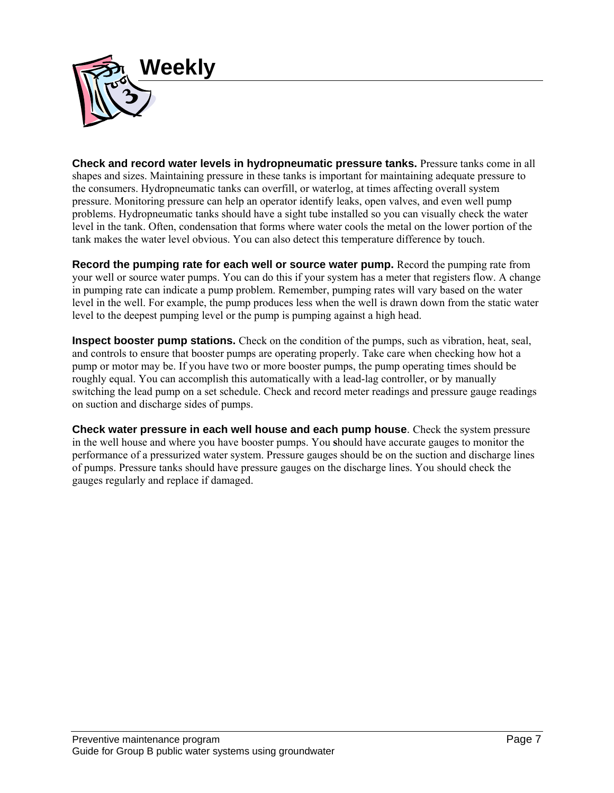

**Check and record water levels in hydropneumatic pressure tanks.** Pressure tanks come in all shapes and sizes. Maintaining pressure in these tanks is important for maintaining adequate pressure to the consumers. Hydropneumatic tanks can overfill, or waterlog, at times affecting overall system pressure. Monitoring pressure can help an operator identify leaks, open valves, and even well pump problems. Hydropneumatic tanks should have a sight tube installed so you can visually check the water level in the tank. Often, condensation that forms where water cools the metal on the lower portion of the tank makes the water level obvious. You can also detect this temperature difference by touch.

**Record the pumping rate for each well or source water pump.** Record the pumping rate from your well or source water pumps. You can do this if your system has a meter that registers flow. A change in pumping rate can indicate a pump problem. Remember, pumping rates will vary based on the water level in the well. For example, the pump produces less when the well is drawn down from the static water level to the deepest pumping level or the pump is pumping against a high head.

**Inspect booster pump stations.** Check on the condition of the pumps, such as vibration, heat, seal, and controls to ensure that booster pumps are operating properly. Take care when checking how hot a pump or motor may be. If you have two or more booster pumps, the pump operating times should be roughly equal. You can accomplish this automatically with a lead-lag controller, or by manually switching the lead pump on a set schedule. Check and record meter readings and pressure gauge readings on suction and discharge sides of pumps.

**Check water pressure in each well house and each pump house**. Check the system pressure in the well house and where you have booster pumps. You **s**hould have accurate gauges to monitor the performance of a pressurized water system. Pressure gauges should be on the suction and discharge lines of pumps. Pressure tanks should have pressure gauges on the discharge lines. You should check the gauges regularly and replace if damaged.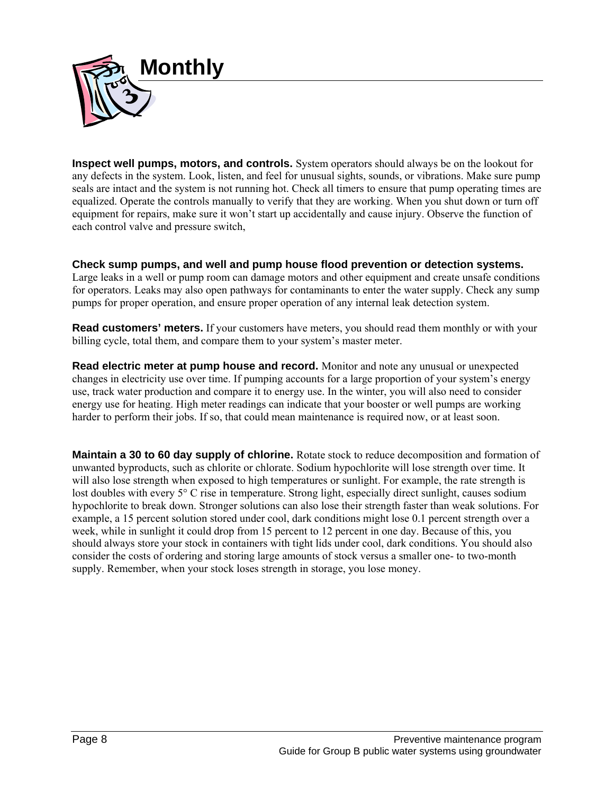

**Inspect well pumps, motors, and controls.** System operators should always be on the lookout for any defects in the system. Look, listen, and feel for unusual sights, sounds, or vibrations. Make sure pump seals are intact and the system is not running hot. Check all timers to ensure that pump operating times are equalized. Operate the controls manually to verify that they are working. When you shut down or turn off equipment for repairs, make sure it won't start up accidentally and cause injury. Observe the function of each control valve and pressure switch,

**Check sump pumps, and well and pump house flood prevention or detection systems.**  Large leaks in a well or pump room can damage motors and other equipment and create unsafe conditions for operators. Leaks may also open pathways for contaminants to enter the water supply. Check any sump pumps for proper operation, and ensure proper operation of any internal leak detection system.

**Read customers' meters.** If your customers have meters, you should read them monthly or with your billing cycle, total them, and compare them to your system's master meter.

**Read electric meter at pump house and record.** Monitor and note any unusual or unexpected changes in electricity use over time. If pumping accounts for a large proportion of your system's energy use, track water production and compare it to energy use. In the winter, you will also need to consider energy use for heating. High meter readings can indicate that your booster or well pumps are working harder to perform their jobs. If so, that could mean maintenance is required now, or at least soon.

**Maintain a 30 to 60 day supply of chlorine.** Rotate stock to reduce decomposition and formation of unwanted byproducts, such as chlorite or chlorate. Sodium hypochlorite will lose strength over time. It will also lose strength when exposed to high temperatures or sunlight. For example, the rate strength is lost doubles with every 5° C rise in temperature. Strong light, especially direct sunlight, causes sodium hypochlorite to break down. Stronger solutions can also lose their strength faster than weak solutions. For example, a 15 percent solution stored under cool, dark conditions might lose 0.1 percent strength over a week, while in sunlight it could drop from 15 percent to 12 percent in one day. Because of this, you should always store your stock in containers with tight lids under cool, dark conditions. You should also consider the costs of ordering and storing large amounts of stock versus a smaller one- to two-month supply. Remember, when your stock loses strength in storage, you lose money.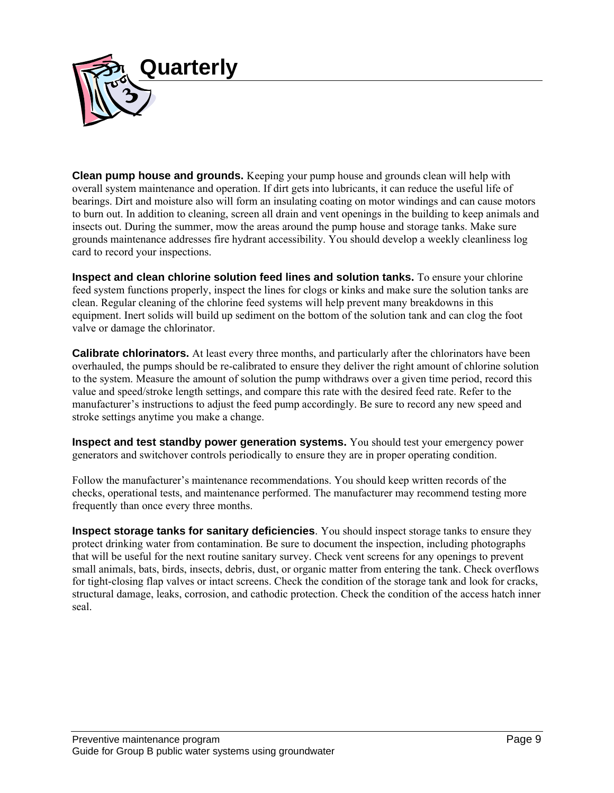

**Clean pump house and grounds.** Keeping your pump house and grounds clean will help with overall system maintenance and operation. If dirt gets into lubricants, it can reduce the useful life of bearings. Dirt and moisture also will form an insulating coating on motor windings and can cause motors to burn out. In addition to cleaning, screen all drain and vent openings in the building to keep animals and insects out. During the summer, mow the areas around the pump house and storage tanks. Make sure grounds maintenance addresses fire hydrant accessibility. You should develop a weekly cleanliness log card to record your inspections.

**Inspect and clean chlorine solution feed lines and solution tanks.** To ensure your chlorine feed system functions properly, inspect the lines for clogs or kinks and make sure the solution tanks are clean. Regular cleaning of the chlorine feed systems will help prevent many breakdowns in this equipment. Inert solids will build up sediment on the bottom of the solution tank and can clog the foot valve or damage the chlorinator.

**Calibrate chlorinators.** At least every three months, and particularly after the chlorinators have been overhauled, the pumps should be re-calibrated to ensure they deliver the right amount of chlorine solution to the system. Measure the amount of solution the pump withdraws over a given time period, record this value and speed/stroke length settings, and compare this rate with the desired feed rate. Refer to the manufacturer's instructions to adjust the feed pump accordingly. Be sure to record any new speed and stroke settings anytime you make a change.

**Inspect and test standby power generation systems.** You should test your emergency power generators and switchover controls periodically to ensure they are in proper operating condition.

Follow the manufacturer's maintenance recommendations. You should keep written records of the checks, operational tests, and maintenance performed. The manufacturer may recommend testing more frequently than once every three months.

**Inspect storage tanks for sanitary deficiencies**. You should inspect storage tanks to ensure they protect drinking water from contamination. Be sure to document the inspection, including photographs that will be useful for the next routine sanitary survey. Check vent screens for any openings to prevent small animals, bats, birds, insects, debris, dust, or organic matter from entering the tank. Check overflows for tight-closing flap valves or intact screens. Check the condition of the storage tank and look for cracks, structural damage, leaks, corrosion, and cathodic protection. Check the condition of the access hatch inner seal.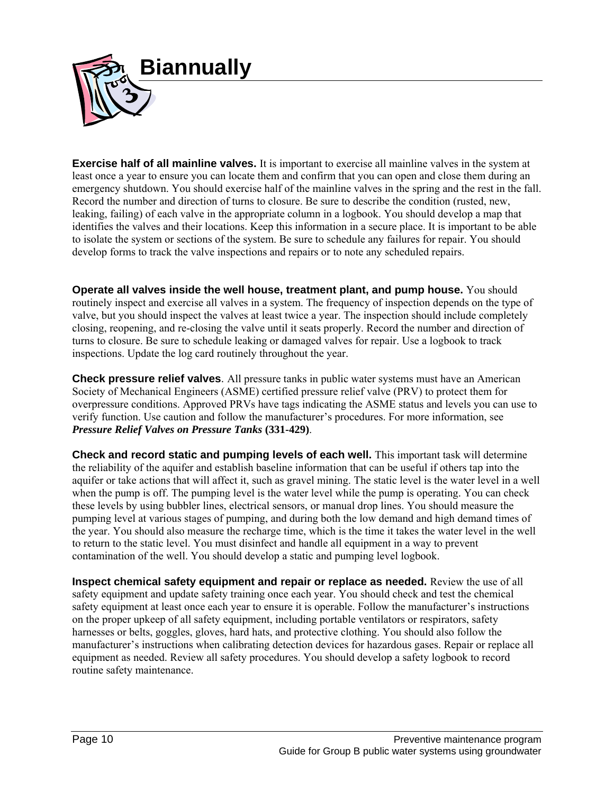

**Exercise half of all mainline valves.** It is important to exercise all mainline valves in the system at least once a year to ensure you can locate them and confirm that you can open and close them during an emergency shutdown. You should exercise half of the mainline valves in the spring and the rest in the fall. Record the number and direction of turns to closure. Be sure to describe the condition (rusted, new, leaking, failing) of each valve in the appropriate column in a logbook. You should develop a map that identifies the valves and their locations. Keep this information in a secure place. It is important to be able to isolate the system or sections of the system. Be sure to schedule any failures for repair. You should develop forms to track the valve inspections and repairs or to note any scheduled repairs.

**Operate all valves inside the well house, treatment plant, and pump house.** You should routinely inspect and exercise all valves in a system. The frequency of inspection depends on the type of valve, but you should inspect the valves at least twice a year. The inspection should include completely closing, reopening, and re-closing the valve until it seats properly. Record the number and direction of turns to closure. Be sure to schedule leaking or damaged valves for repair. Use a logbook to track inspections. Update the log card routinely throughout the year.

**Check pressure relief valves**. All pressure tanks in public water systems must have an American Society of Mechanical Engineers (ASME) certified pressure relief valve (PRV) to protect them for overpressure conditions. Approved PRVs have tags indicating the ASME status and levels you can use to verify function. Use caution and follow the manufacturer's procedures. For more information, see *Pressure Relief Valves on Pressure Tanks* **(331-429)**.

**Check and record static and pumping levels of each well.** This important task will determine the reliability of the aquifer and establish baseline information that can be useful if others tap into the aquifer or take actions that will affect it, such as gravel mining. The static level is the water level in a well when the pump is off. The pumping level is the water level while the pump is operating. You can check these levels by using bubbler lines, electrical sensors, or manual drop lines. You should measure the pumping level at various stages of pumping, and during both the low demand and high demand times of the year. You should also measure the recharge time, which is the time it takes the water level in the well to return to the static level. You must disinfect and handle all equipment in a way to prevent contamination of the well. You should develop a static and pumping level logbook.

**Inspect chemical safety equipment and repair or replace as needed.** Review the use of all safety equipment and update safety training once each year. You should check and test the chemical safety equipment at least once each year to ensure it is operable. Follow the manufacturer's instructions on the proper upkeep of all safety equipment, including portable ventilators or respirators, safety harnesses or belts, goggles, gloves, hard hats, and protective clothing. You should also follow the manufacturer's instructions when calibrating detection devices for hazardous gases. Repair or replace all equipment as needed. Review all safety procedures. You should develop a safety logbook to record routine safety maintenance.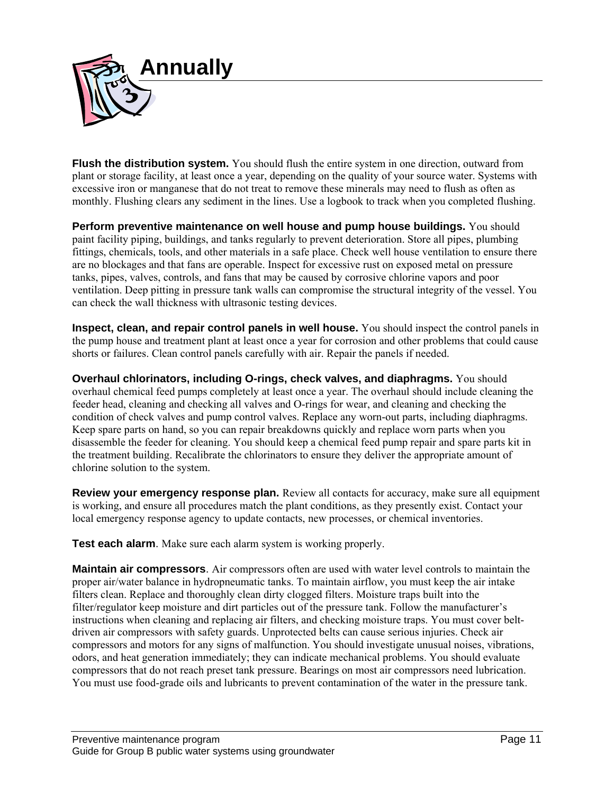

**Flush the distribution system.** You should flush the entire system in one direction, outward from plant or storage facility, at least once a year, depending on the quality of your source water. Systems with excessive iron or manganese that do not treat to remove these minerals may need to flush as often as monthly. Flushing clears any sediment in the lines. Use a logbook to track when you completed flushing.

**Perform preventive maintenance on well house and pump house buildings.** You should paint facility piping, buildings, and tanks regularly to prevent deterioration. Store all pipes, plumbing fittings, chemicals, tools, and other materials in a safe place. Check well house ventilation to ensure there are no blockages and that fans are operable. Inspect for excessive rust on exposed metal on pressure tanks, pipes, valves, controls, and fans that may be caused by corrosive chlorine vapors and poor ventilation. Deep pitting in pressure tank walls can compromise the structural integrity of the vessel. You can check the wall thickness with ultrasonic testing devices.

**Inspect, clean, and repair control panels in well house.** You should inspect the control panels in the pump house and treatment plant at least once a year for corrosion and other problems that could cause shorts or failures. Clean control panels carefully with air. Repair the panels if needed.

**Overhaul chlorinators, including O-rings, check valves, and diaphragms.** You should overhaul chemical feed pumps completely at least once a year. The overhaul should include cleaning the feeder head, cleaning and checking all valves and O-rings for wear, and cleaning and checking the condition of check valves and pump control valves. Replace any worn-out parts, including diaphragms. Keep spare parts on hand, so you can repair breakdowns quickly and replace worn parts when you disassemble the feeder for cleaning. You should keep a chemical feed pump repair and spare parts kit in the treatment building. Recalibrate the chlorinators to ensure they deliver the appropriate amount of chlorine solution to the system.

**Review your emergency response plan.** Review all contacts for accuracy, make sure all equipment is working, and ensure all procedures match the plant conditions, as they presently exist. Contact your local emergency response agency to update contacts, new processes, or chemical inventories.

**Test each alarm.** Make sure each alarm system is working properly.

**Maintain air compressors**. Air compressors often are used with water level controls to maintain the proper air/water balance in hydropneumatic tanks. To maintain airflow, you must keep the air intake filters clean. Replace and thoroughly clean dirty clogged filters. Moisture traps built into the filter/regulator keep moisture and dirt particles out of the pressure tank. Follow the manufacturer's instructions when cleaning and replacing air filters, and checking moisture traps. You must cover beltdriven air compressors with safety guards. Unprotected belts can cause serious injuries. Check air compressors and motors for any signs of malfunction. You should investigate unusual noises, vibrations, odors, and heat generation immediately; they can indicate mechanical problems. You should evaluate compressors that do not reach preset tank pressure. Bearings on most air compressors need lubrication. You must use food-grade oils and lubricants to prevent contamination of the water in the pressure tank.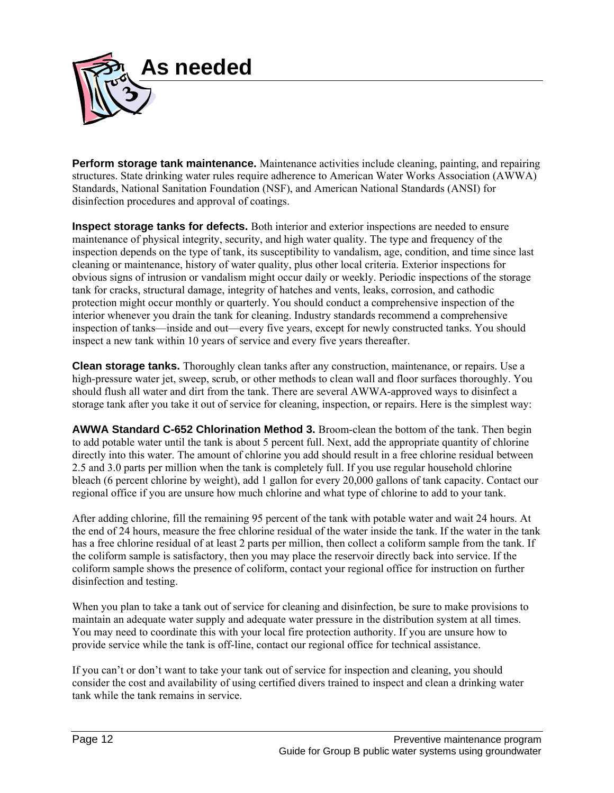

**Perform storage tank maintenance.** Maintenance activities include cleaning, painting, and repairing structures. State drinking water rules require adherence to American Water Works Association (AWWA) Standards, National Sanitation Foundation (NSF), and American National Standards (ANSI) for disinfection procedures and approval of coatings.

**Inspect storage tanks for defects.** Both interior and exterior inspections are needed to ensure maintenance of physical integrity, security, and high water quality. The type and frequency of the inspection depends on the type of tank, its susceptibility to vandalism, age, condition, and time since last cleaning or maintenance, history of water quality, plus other local criteria. Exterior inspections for obvious signs of intrusion or vandalism might occur daily or weekly. Periodic inspections of the storage tank for cracks, structural damage, integrity of hatches and vents, leaks, corrosion, and cathodic protection might occur monthly or quarterly. You should conduct a comprehensive inspection of the interior whenever you drain the tank for cleaning. Industry standards recommend a comprehensive inspection of tanks—inside and out—every five years, except for newly constructed tanks. You should inspect a new tank within 10 years of service and every five years thereafter.

**Clean storage tanks.** Thoroughly clean tanks after any construction, maintenance, or repairs. Use a high-pressure water jet, sweep, scrub, or other methods to clean wall and floor surfaces thoroughly. You should flush all water and dirt from the tank. There are several AWWA-approved ways to disinfect a storage tank after you take it out of service for cleaning, inspection, or repairs. Here is the simplest way:

**AWWA Standard C-652 Chlorination Method 3.** Broom-clean the bottom of the tank. Then begin to add potable water until the tank is about 5 percent full. Next, add the appropriate quantity of chlorine directly into this water. The amount of chlorine you add should result in a free chlorine residual between 2.5 and 3.0 parts per million when the tank is completely full. If you use regular household chlorine bleach (6 percent chlorine by weight), add 1 gallon for every 20,000 gallons of tank capacity. Contact our regional office if you are unsure how much chlorine and what type of chlorine to add to your tank.

After adding chlorine, fill the remaining 95 percent of the tank with potable water and wait 24 hours. At the end of 24 hours, measure the free chlorine residual of the water inside the tank. If the water in the tank has a free chlorine residual of at least 2 parts per million, then collect a coliform sample from the tank. If the coliform sample is satisfactory, then you may place the reservoir directly back into service. If the coliform sample shows the presence of coliform, contact your regional office for instruction on further disinfection and testing.

When you plan to take a tank out of service for cleaning and disinfection, be sure to make provisions to maintain an adequate water supply and adequate water pressure in the distribution system at all times. You may need to coordinate this with your local fire protection authority. If you are unsure how to provide service while the tank is off-line, contact our regional office for technical assistance.

If you can't or don't want to take your tank out of service for inspection and cleaning, you should consider the cost and availability of using certified divers trained to inspect and clean a drinking water tank while the tank remains in service.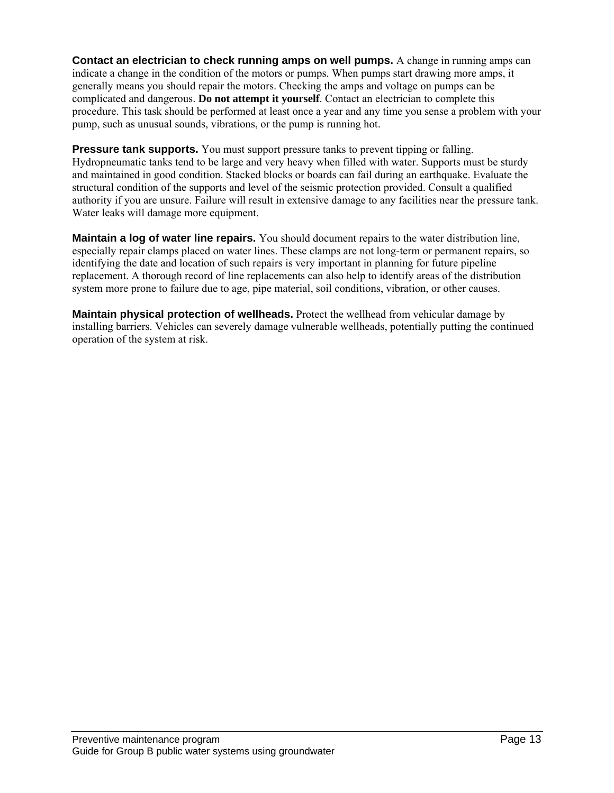**Contact an electrician to check running amps on well pumps.** A change in running amps can indicate a change in the condition of the motors or pumps. When pumps start drawing more amps, it generally means you should repair the motors. Checking the amps and voltage on pumps can be complicated and dangerous. **Do not attempt it yourself**. Contact an electrician to complete this procedure. This task should be performed at least once a year and any time you sense a problem with your pump, such as unusual sounds, vibrations, or the pump is running hot.

**Pressure tank supports.** You must support pressure tanks to prevent tipping or falling. Hydropneumatic tanks tend to be large and very heavy when filled with water. Supports must be sturdy and maintained in good condition. Stacked blocks or boards can fail during an earthquake. Evaluate the structural condition of the supports and level of the seismic protection provided. Consult a qualified authority if you are unsure. Failure will result in extensive damage to any facilities near the pressure tank. Water leaks will damage more equipment.

**Maintain a log of water line repairs.** You should document repairs to the water distribution line, especially repair clamps placed on water lines. These clamps are not long-term or permanent repairs, so identifying the date and location of such repairs is very important in planning for future pipeline replacement. A thorough record of line replacements can also help to identify areas of the distribution system more prone to failure due to age, pipe material, soil conditions, vibration, or other causes.

**Maintain physical protection of wellheads.** Protect the wellhead from vehicular damage by installing barriers. Vehicles can severely damage vulnerable wellheads, potentially putting the continued operation of the system at risk.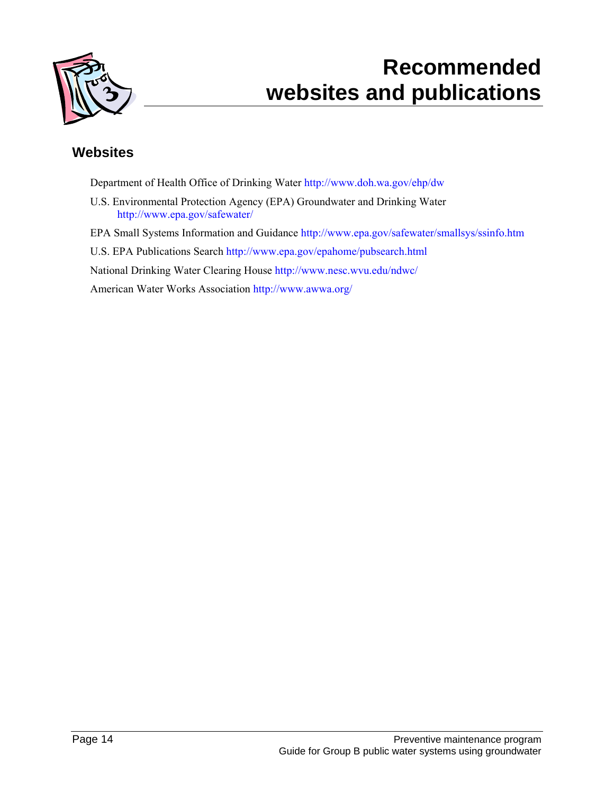

### **Recommended websites and publications**

### **Websites**

Department of Health Office of Drinking Water http://www.doh.wa.gov/ehp/dw

U.S. Environmental Protection Agency (EPA) Groundwater and Drinking Water http://www.epa.gov/safewater/

EPA Small Systems Information and Guidance http://www.epa.gov/safewater/smallsys/ssinfo.htm

U.S. EPA Publications Search http://www.epa.gov/epahome/pubsearch.html

National Drinking Water Clearing House http://www.nesc.wvu.edu/ndwc/

American Water Works Association http://www.awwa.org/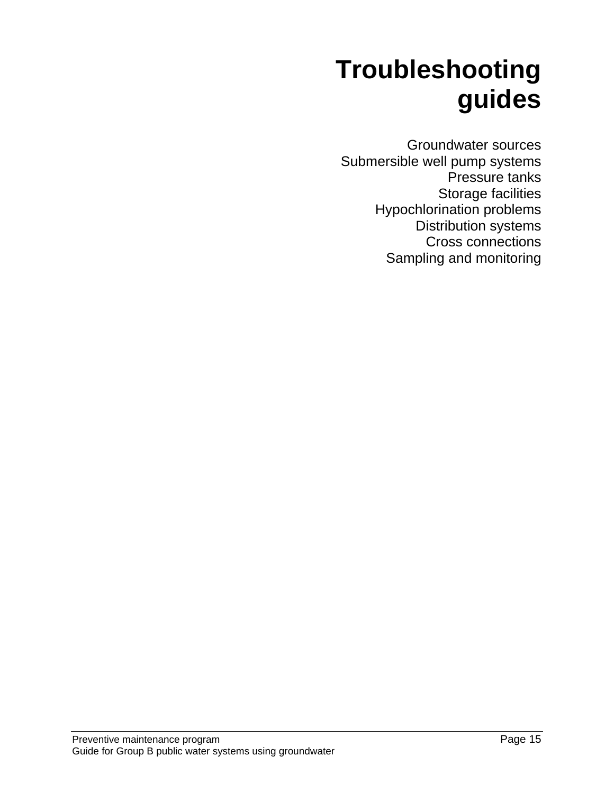# **Troubleshooting guides**

Groundwater sources Submersible well pump systems Pressure tanks Storage facilities Hypochlorination problems Distribution systems Cross connections Sampling and monitoring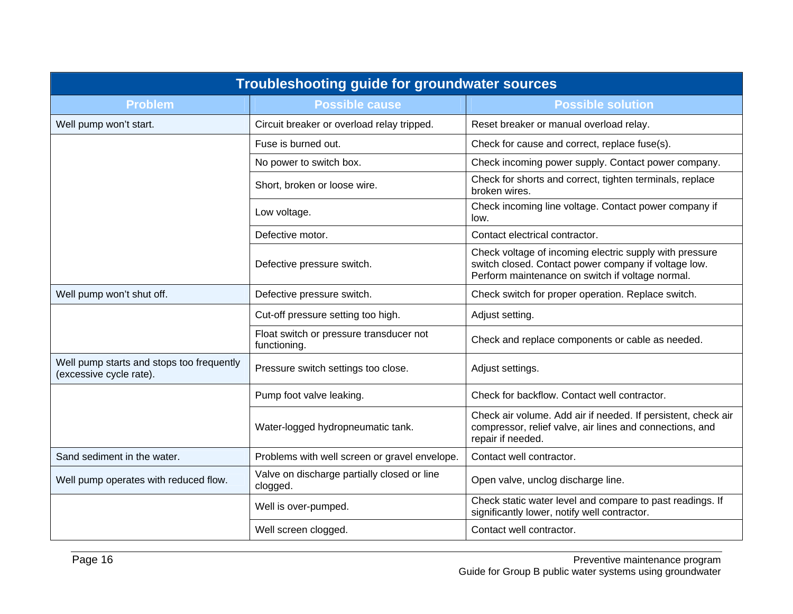| <b>Troubleshooting guide for groundwater sources</b>                 |                                                         |                                                                                                                                                                     |
|----------------------------------------------------------------------|---------------------------------------------------------|---------------------------------------------------------------------------------------------------------------------------------------------------------------------|
| <b>Problem</b>                                                       | <b>Possible cause</b>                                   | <b>Possible solution</b>                                                                                                                                            |
| Well pump won't start.                                               | Circuit breaker or overload relay tripped.              | Reset breaker or manual overload relay.                                                                                                                             |
|                                                                      | Fuse is burned out.                                     | Check for cause and correct, replace fuse(s).                                                                                                                       |
|                                                                      | No power to switch box.                                 | Check incoming power supply. Contact power company.                                                                                                                 |
|                                                                      | Short, broken or loose wire.                            | Check for shorts and correct, tighten terminals, replace<br>broken wires.                                                                                           |
|                                                                      | Low voltage.                                            | Check incoming line voltage. Contact power company if<br>low.                                                                                                       |
|                                                                      | Defective motor.                                        | Contact electrical contractor.                                                                                                                                      |
|                                                                      | Defective pressure switch.                              | Check voltage of incoming electric supply with pressure<br>switch closed. Contact power company if voltage low.<br>Perform maintenance on switch if voltage normal. |
| Well pump won't shut off.                                            | Defective pressure switch.                              | Check switch for proper operation. Replace switch.                                                                                                                  |
|                                                                      | Cut-off pressure setting too high.                      | Adjust setting.                                                                                                                                                     |
|                                                                      | Float switch or pressure transducer not<br>functioning. | Check and replace components or cable as needed.                                                                                                                    |
| Well pump starts and stops too frequently<br>(excessive cycle rate). | Pressure switch settings too close.                     | Adjust settings.                                                                                                                                                    |
|                                                                      | Pump foot valve leaking.                                | Check for backflow. Contact well contractor.                                                                                                                        |
|                                                                      | Water-logged hydropneumatic tank.                       | Check air volume. Add air if needed. If persistent, check air<br>compressor, relief valve, air lines and connections, and<br>repair if needed.                      |
| Sand sediment in the water.                                          | Problems with well screen or gravel envelope.           | Contact well contractor.                                                                                                                                            |
| Well pump operates with reduced flow.                                | Valve on discharge partially closed or line<br>clogged. | Open valve, unclog discharge line.                                                                                                                                  |
|                                                                      | Well is over-pumped.                                    | Check static water level and compare to past readings. If<br>significantly lower, notify well contractor.                                                           |
|                                                                      | Well screen clogged.                                    | Contact well contractor.                                                                                                                                            |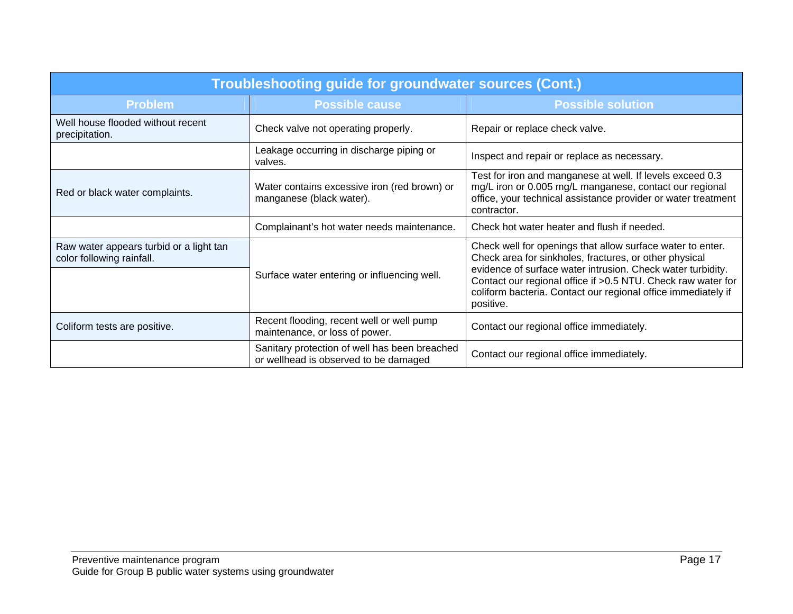| Troubleshooting guide for groundwater sources (Cont.)                |                                                                                        |                                                                                                                                                                                                                                                                                                                                    |
|----------------------------------------------------------------------|----------------------------------------------------------------------------------------|------------------------------------------------------------------------------------------------------------------------------------------------------------------------------------------------------------------------------------------------------------------------------------------------------------------------------------|
| <b>Problem</b>                                                       | <b>Possible cause</b>                                                                  | <b>Possible solution</b>                                                                                                                                                                                                                                                                                                           |
| Well house flooded without recent<br>precipitation.                  | Check valve not operating properly.                                                    | Repair or replace check valve.                                                                                                                                                                                                                                                                                                     |
|                                                                      | Leakage occurring in discharge piping or<br>valves.                                    | Inspect and repair or replace as necessary.                                                                                                                                                                                                                                                                                        |
| Red or black water complaints.                                       | Water contains excessive iron (red brown) or<br>manganese (black water).               | Test for iron and manganese at well. If levels exceed 0.3<br>mg/L iron or 0.005 mg/L manganese, contact our regional<br>office, your technical assistance provider or water treatment<br>contractor.                                                                                                                               |
|                                                                      | Complainant's hot water needs maintenance.                                             | Check hot water heater and flush if needed.                                                                                                                                                                                                                                                                                        |
| Raw water appears turbid or a light tan<br>color following rainfall. | Surface water entering or influencing well.                                            | Check well for openings that allow surface water to enter.<br>Check area for sinkholes, fractures, or other physical<br>evidence of surface water intrusion. Check water turbidity.<br>Contact our regional office if > 0.5 NTU. Check raw water for<br>coliform bacteria. Contact our regional office immediately if<br>positive. |
| Coliform tests are positive.                                         | Recent flooding, recent well or well pump<br>maintenance, or loss of power.            | Contact our regional office immediately.                                                                                                                                                                                                                                                                                           |
|                                                                      | Sanitary protection of well has been breached<br>or wellhead is observed to be damaged | Contact our regional office immediately.                                                                                                                                                                                                                                                                                           |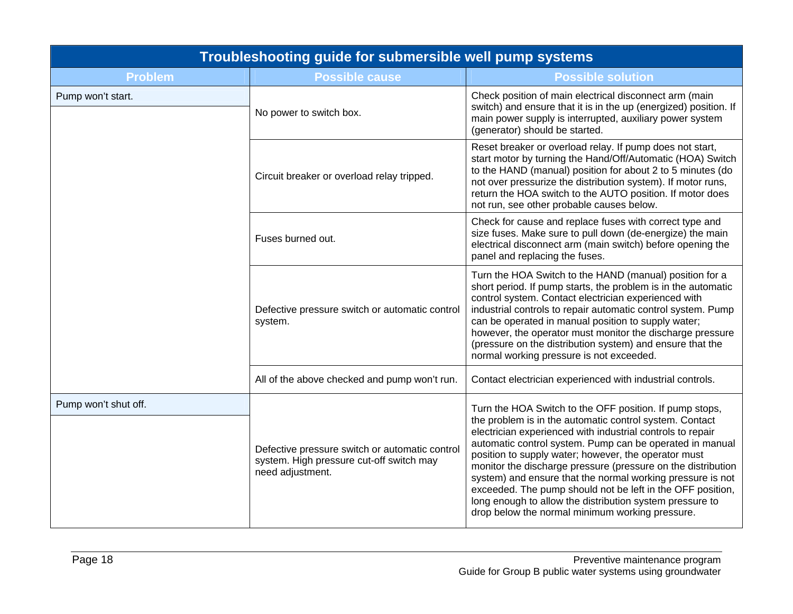| Troubleshooting guide for submersible well pump systems |                                                                                                                |                                                                                                                                                                                                                                                                                                                                                                                                                                                                                                                                                                                                                 |
|---------------------------------------------------------|----------------------------------------------------------------------------------------------------------------|-----------------------------------------------------------------------------------------------------------------------------------------------------------------------------------------------------------------------------------------------------------------------------------------------------------------------------------------------------------------------------------------------------------------------------------------------------------------------------------------------------------------------------------------------------------------------------------------------------------------|
| <b>Problem</b>                                          | <b>Possible cause</b>                                                                                          | <b>Possible solution</b>                                                                                                                                                                                                                                                                                                                                                                                                                                                                                                                                                                                        |
| Pump won't start.                                       | No power to switch box.                                                                                        | Check position of main electrical disconnect arm (main<br>switch) and ensure that it is in the up (energized) position. If<br>main power supply is interrupted, auxiliary power system<br>(generator) should be started.                                                                                                                                                                                                                                                                                                                                                                                        |
|                                                         | Circuit breaker or overload relay tripped.                                                                     | Reset breaker or overload relay. If pump does not start,<br>start motor by turning the Hand/Off/Automatic (HOA) Switch<br>to the HAND (manual) position for about 2 to 5 minutes (do<br>not over pressurize the distribution system). If motor runs,<br>return the HOA switch to the AUTO position. If motor does<br>not run, see other probable causes below.                                                                                                                                                                                                                                                  |
|                                                         | Fuses burned out.                                                                                              | Check for cause and replace fuses with correct type and<br>size fuses. Make sure to pull down (de-energize) the main<br>electrical disconnect arm (main switch) before opening the<br>panel and replacing the fuses.                                                                                                                                                                                                                                                                                                                                                                                            |
|                                                         | Defective pressure switch or automatic control<br>system.                                                      | Turn the HOA Switch to the HAND (manual) position for a<br>short period. If pump starts, the problem is in the automatic<br>control system. Contact electrician experienced with<br>industrial controls to repair automatic control system. Pump<br>can be operated in manual position to supply water;<br>however, the operator must monitor the discharge pressure<br>(pressure on the distribution system) and ensure that the<br>normal working pressure is not exceeded.                                                                                                                                   |
|                                                         | All of the above checked and pump won't run.                                                                   | Contact electrician experienced with industrial controls.                                                                                                                                                                                                                                                                                                                                                                                                                                                                                                                                                       |
| Pump won't shut off.                                    | Defective pressure switch or automatic control<br>system. High pressure cut-off switch may<br>need adjustment. | Turn the HOA Switch to the OFF position. If pump stops,<br>the problem is in the automatic control system. Contact<br>electrician experienced with industrial controls to repair<br>automatic control system. Pump can be operated in manual<br>position to supply water; however, the operator must<br>monitor the discharge pressure (pressure on the distribution<br>system) and ensure that the normal working pressure is not<br>exceeded. The pump should not be left in the OFF position,<br>long enough to allow the distribution system pressure to<br>drop below the normal minimum working pressure. |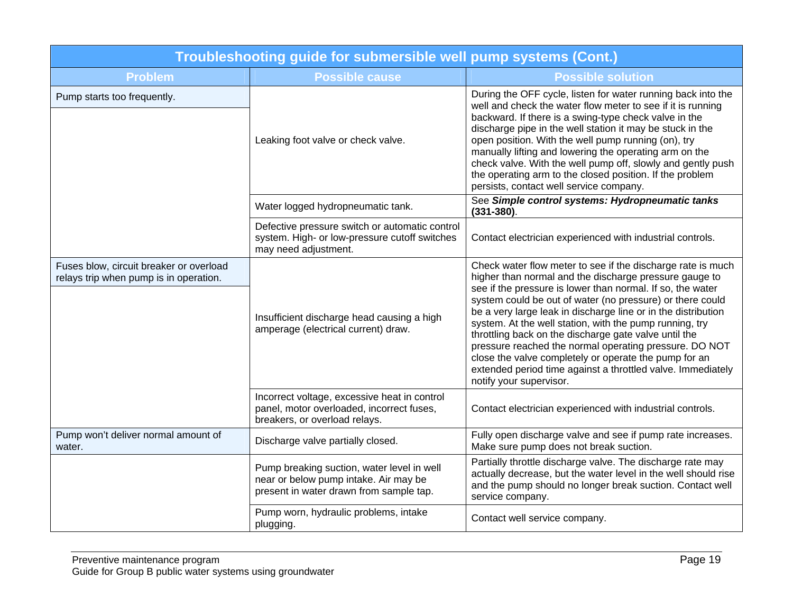| Troubleshooting guide for submersible well pump systems (Cont.)                   |                                                                                                                                |                                                                                                                                                                                                                                                                                                                                                                                                                                                                                                                                                                                                                                                    |
|-----------------------------------------------------------------------------------|--------------------------------------------------------------------------------------------------------------------------------|----------------------------------------------------------------------------------------------------------------------------------------------------------------------------------------------------------------------------------------------------------------------------------------------------------------------------------------------------------------------------------------------------------------------------------------------------------------------------------------------------------------------------------------------------------------------------------------------------------------------------------------------------|
| <b>Problem</b>                                                                    | <b>Possible cause</b>                                                                                                          | <b>Possible solution</b>                                                                                                                                                                                                                                                                                                                                                                                                                                                                                                                                                                                                                           |
| Pump starts too frequently.                                                       | Leaking foot valve or check valve.                                                                                             | During the OFF cycle, listen for water running back into the<br>well and check the water flow meter to see if it is running<br>backward. If there is a swing-type check valve in the<br>discharge pipe in the well station it may be stuck in the<br>open position. With the well pump running (on), try<br>manually lifting and lowering the operating arm on the<br>check valve. With the well pump off, slowly and gently push<br>the operating arm to the closed position. If the problem<br>persists, contact well service company.                                                                                                           |
|                                                                                   | Water logged hydropneumatic tank.                                                                                              | See Simple control systems: Hydropneumatic tanks<br>$(331 - 380)$ .                                                                                                                                                                                                                                                                                                                                                                                                                                                                                                                                                                                |
|                                                                                   | Defective pressure switch or automatic control<br>system. High- or low-pressure cutoff switches<br>may need adjustment.        | Contact electrician experienced with industrial controls.                                                                                                                                                                                                                                                                                                                                                                                                                                                                                                                                                                                          |
| Fuses blow, circuit breaker or overload<br>relays trip when pump is in operation. | Insufficient discharge head causing a high<br>amperage (electrical current) draw.                                              | Check water flow meter to see if the discharge rate is much<br>higher than normal and the discharge pressure gauge to<br>see if the pressure is lower than normal. If so, the water<br>system could be out of water (no pressure) or there could<br>be a very large leak in discharge line or in the distribution<br>system. At the well station, with the pump running, try<br>throttling back on the discharge gate valve until the<br>pressure reached the normal operating pressure. DO NOT<br>close the valve completely or operate the pump for an<br>extended period time against a throttled valve. Immediately<br>notify your supervisor. |
|                                                                                   | Incorrect voltage, excessive heat in control<br>panel, motor overloaded, incorrect fuses,<br>breakers, or overload relays.     | Contact electrician experienced with industrial controls.                                                                                                                                                                                                                                                                                                                                                                                                                                                                                                                                                                                          |
| Pump won't deliver normal amount of<br>water.                                     | Discharge valve partially closed.                                                                                              | Fully open discharge valve and see if pump rate increases.<br>Make sure pump does not break suction.                                                                                                                                                                                                                                                                                                                                                                                                                                                                                                                                               |
|                                                                                   | Pump breaking suction, water level in well<br>near or below pump intake. Air may be<br>present in water drawn from sample tap. | Partially throttle discharge valve. The discharge rate may<br>actually decrease, but the water level in the well should rise<br>and the pump should no longer break suction. Contact well<br>service company.                                                                                                                                                                                                                                                                                                                                                                                                                                      |
|                                                                                   | Pump worn, hydraulic problems, intake<br>plugging.                                                                             | Contact well service company.                                                                                                                                                                                                                                                                                                                                                                                                                                                                                                                                                                                                                      |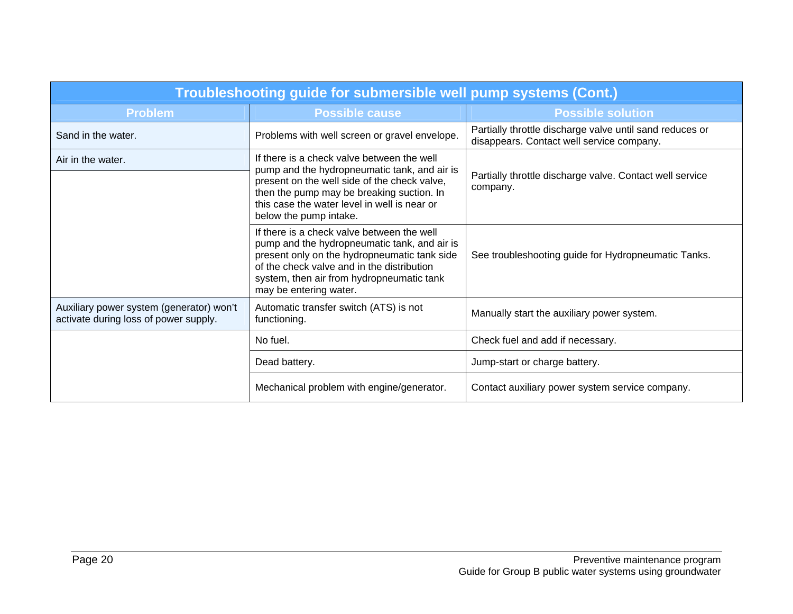| Troubleshooting guide for submersible well pump systems (Cont.)                   |                                                                                                                                                                                                                                                                   |                                                                                                       |
|-----------------------------------------------------------------------------------|-------------------------------------------------------------------------------------------------------------------------------------------------------------------------------------------------------------------------------------------------------------------|-------------------------------------------------------------------------------------------------------|
| <b>Problem</b>                                                                    | <b>Possible cause</b>                                                                                                                                                                                                                                             | <b>Possible solution</b>                                                                              |
| Sand in the water.                                                                | Problems with well screen or gravel envelope.                                                                                                                                                                                                                     | Partially throttle discharge valve until sand reduces or<br>disappears. Contact well service company. |
| Air in the water.                                                                 | If there is a check valve between the well<br>pump and the hydropneumatic tank, and air is<br>present on the well side of the check valve,<br>then the pump may be breaking suction. In<br>this case the water level in well is near or<br>below the pump intake. | Partially throttle discharge valve. Contact well service<br>company.                                  |
|                                                                                   | If there is a check valve between the well<br>pump and the hydropneumatic tank, and air is<br>present only on the hydropneumatic tank side<br>of the check valve and in the distribution<br>system, then air from hydropneumatic tank<br>may be entering water.   | See troubleshooting guide for Hydropneumatic Tanks.                                                   |
| Auxiliary power system (generator) won't<br>activate during loss of power supply. | Automatic transfer switch (ATS) is not<br>functioning.                                                                                                                                                                                                            | Manually start the auxiliary power system.                                                            |
|                                                                                   | No fuel.                                                                                                                                                                                                                                                          | Check fuel and add if necessary.                                                                      |
|                                                                                   | Dead battery.                                                                                                                                                                                                                                                     | Jump-start or charge battery.                                                                         |
|                                                                                   | Mechanical problem with engine/generator.                                                                                                                                                                                                                         | Contact auxiliary power system service company.                                                       |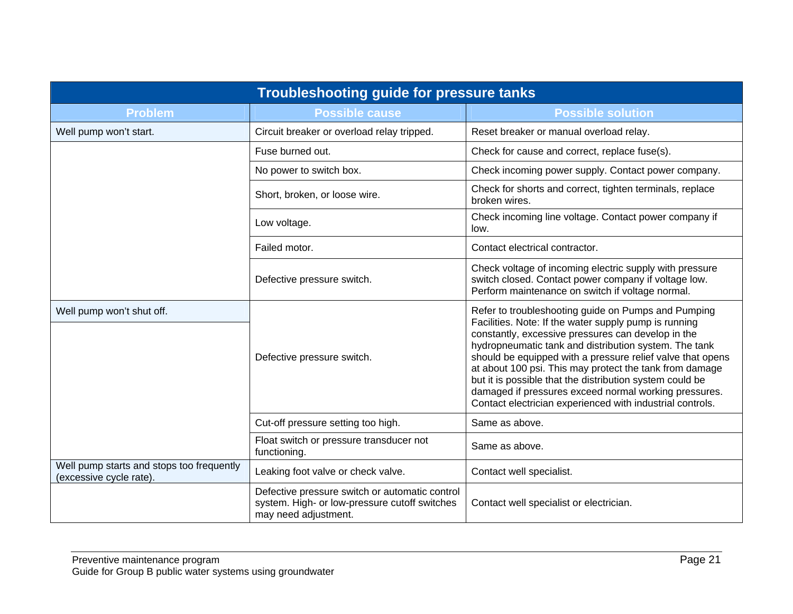| <b>Troubleshooting guide for pressure tanks</b>                      |                                                                                                                         |                                                                                                                                                                                                                                                                                                                                                                                                                                                                                                                                        |
|----------------------------------------------------------------------|-------------------------------------------------------------------------------------------------------------------------|----------------------------------------------------------------------------------------------------------------------------------------------------------------------------------------------------------------------------------------------------------------------------------------------------------------------------------------------------------------------------------------------------------------------------------------------------------------------------------------------------------------------------------------|
| <b>Problem</b>                                                       | <b>Possible cause</b>                                                                                                   | <b>Possible solution</b>                                                                                                                                                                                                                                                                                                                                                                                                                                                                                                               |
| Well pump won't start.                                               | Circuit breaker or overload relay tripped.                                                                              | Reset breaker or manual overload relay.                                                                                                                                                                                                                                                                                                                                                                                                                                                                                                |
|                                                                      | Fuse burned out.                                                                                                        | Check for cause and correct, replace fuse(s).                                                                                                                                                                                                                                                                                                                                                                                                                                                                                          |
|                                                                      | No power to switch box.                                                                                                 | Check incoming power supply. Contact power company.                                                                                                                                                                                                                                                                                                                                                                                                                                                                                    |
|                                                                      | Short, broken, or loose wire.                                                                                           | Check for shorts and correct, tighten terminals, replace<br>broken wires.                                                                                                                                                                                                                                                                                                                                                                                                                                                              |
|                                                                      | Low voltage.                                                                                                            | Check incoming line voltage. Contact power company if<br>low.                                                                                                                                                                                                                                                                                                                                                                                                                                                                          |
|                                                                      | Failed motor.                                                                                                           | Contact electrical contractor.                                                                                                                                                                                                                                                                                                                                                                                                                                                                                                         |
|                                                                      | Defective pressure switch.                                                                                              | Check voltage of incoming electric supply with pressure<br>switch closed. Contact power company if voltage low.<br>Perform maintenance on switch if voltage normal.                                                                                                                                                                                                                                                                                                                                                                    |
| Well pump won't shut off.                                            | Defective pressure switch.                                                                                              | Refer to troubleshooting guide on Pumps and Pumping<br>Facilities. Note: If the water supply pump is running<br>constantly, excessive pressures can develop in the<br>hydropneumatic tank and distribution system. The tank<br>should be equipped with a pressure relief valve that opens<br>at about 100 psi. This may protect the tank from damage<br>but it is possible that the distribution system could be<br>damaged if pressures exceed normal working pressures.<br>Contact electrician experienced with industrial controls. |
|                                                                      | Cut-off pressure setting too high.                                                                                      | Same as above.                                                                                                                                                                                                                                                                                                                                                                                                                                                                                                                         |
|                                                                      | Float switch or pressure transducer not<br>functioning.                                                                 | Same as above.                                                                                                                                                                                                                                                                                                                                                                                                                                                                                                                         |
| Well pump starts and stops too frequently<br>(excessive cycle rate). | Leaking foot valve or check valve.                                                                                      | Contact well specialist.                                                                                                                                                                                                                                                                                                                                                                                                                                                                                                               |
|                                                                      | Defective pressure switch or automatic control<br>system. High- or low-pressure cutoff switches<br>may need adjustment. | Contact well specialist or electrician.                                                                                                                                                                                                                                                                                                                                                                                                                                                                                                |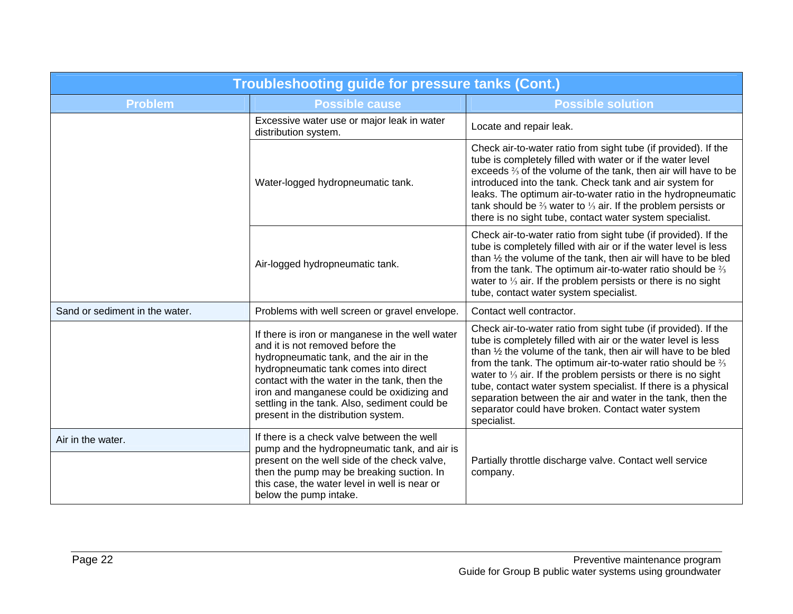| <b>Troubleshooting guide for pressure tanks (Cont.)</b> |                                                                                                                                                                                                                                                                                                                                                              |                                                                                                                                                                                                                                                                                                                                                                                                                                                                                                                                                           |
|---------------------------------------------------------|--------------------------------------------------------------------------------------------------------------------------------------------------------------------------------------------------------------------------------------------------------------------------------------------------------------------------------------------------------------|-----------------------------------------------------------------------------------------------------------------------------------------------------------------------------------------------------------------------------------------------------------------------------------------------------------------------------------------------------------------------------------------------------------------------------------------------------------------------------------------------------------------------------------------------------------|
| <b>Problem</b>                                          | <b>Possible cause</b>                                                                                                                                                                                                                                                                                                                                        | <b>Possible solution</b>                                                                                                                                                                                                                                                                                                                                                                                                                                                                                                                                  |
|                                                         | Excessive water use or major leak in water<br>distribution system.                                                                                                                                                                                                                                                                                           | Locate and repair leak.                                                                                                                                                                                                                                                                                                                                                                                                                                                                                                                                   |
|                                                         | Water-logged hydropneumatic tank.                                                                                                                                                                                                                                                                                                                            | Check air-to-water ratio from sight tube (if provided). If the<br>tube is completely filled with water or if the water level<br>exceeds % of the volume of the tank, then air will have to be<br>introduced into the tank. Check tank and air system for<br>leaks. The optimum air-to-water ratio in the hydropneumatic<br>tank should be $\frac{2}{3}$ water to $\frac{1}{3}$ air. If the problem persists or<br>there is no sight tube, contact water system specialist.                                                                                |
|                                                         | Air-logged hydropneumatic tank.                                                                                                                                                                                                                                                                                                                              | Check air-to-water ratio from sight tube (if provided). If the<br>tube is completely filled with air or if the water level is less<br>than 1/2 the volume of the tank, then air will have to be bled<br>from the tank. The optimum air-to-water ratio should be $\frac{2}{3}$<br>water to $\frac{1}{3}$ air. If the problem persists or there is no sight<br>tube, contact water system specialist.                                                                                                                                                       |
| Sand or sediment in the water.                          | Problems with well screen or gravel envelope.                                                                                                                                                                                                                                                                                                                | Contact well contractor.                                                                                                                                                                                                                                                                                                                                                                                                                                                                                                                                  |
|                                                         | If there is iron or manganese in the well water<br>and it is not removed before the<br>hydropneumatic tank, and the air in the<br>hydropneumatic tank comes into direct<br>contact with the water in the tank, then the<br>iron and manganese could be oxidizing and<br>settling in the tank. Also, sediment could be<br>present in the distribution system. | Check air-to-water ratio from sight tube (if provided). If the<br>tube is completely filled with air or the water level is less<br>than 1/2 the volume of the tank, then air will have to be bled<br>from the tank. The optimum air-to-water ratio should be $\frac{2}{3}$<br>water to $\frac{1}{3}$ air. If the problem persists or there is no sight<br>tube, contact water system specialist. If there is a physical<br>separation between the air and water in the tank, then the<br>separator could have broken. Contact water system<br>specialist. |
| Air in the water.                                       | If there is a check valve between the well<br>pump and the hydropneumatic tank, and air is<br>present on the well side of the check valve,<br>then the pump may be breaking suction. In<br>this case, the water level in well is near or<br>below the pump intake.                                                                                           | Partially throttle discharge valve. Contact well service<br>company.                                                                                                                                                                                                                                                                                                                                                                                                                                                                                      |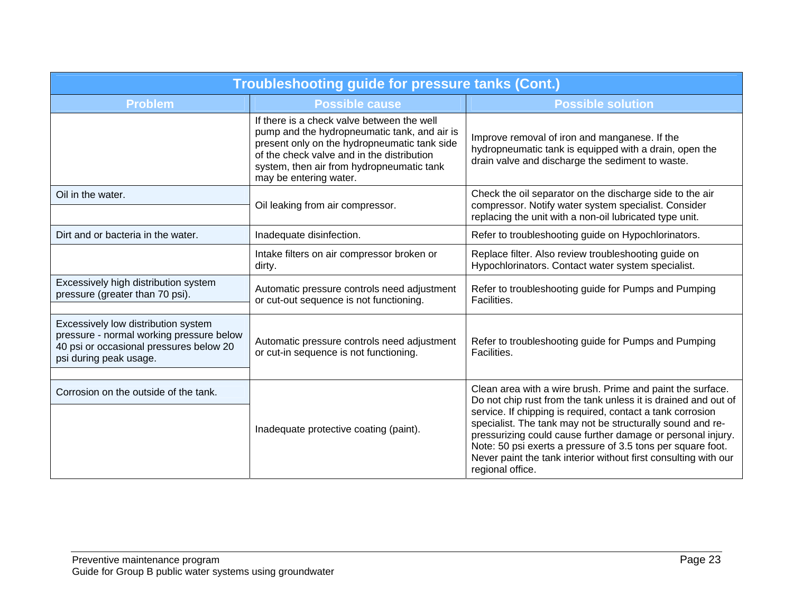| <b>Troubleshooting guide for pressure tanks (Cont.)</b>                                                                                              |                                                                                                                                                                                                                                                                 |                                                                                                                                                                                                                                                                                                                                                                                                                                                                               |
|------------------------------------------------------------------------------------------------------------------------------------------------------|-----------------------------------------------------------------------------------------------------------------------------------------------------------------------------------------------------------------------------------------------------------------|-------------------------------------------------------------------------------------------------------------------------------------------------------------------------------------------------------------------------------------------------------------------------------------------------------------------------------------------------------------------------------------------------------------------------------------------------------------------------------|
| <b>Problem</b>                                                                                                                                       | <b>Possible cause</b>                                                                                                                                                                                                                                           | <b>Possible solution</b>                                                                                                                                                                                                                                                                                                                                                                                                                                                      |
|                                                                                                                                                      | If there is a check valve between the well<br>pump and the hydropneumatic tank, and air is<br>present only on the hydropneumatic tank side<br>of the check valve and in the distribution<br>system, then air from hydropneumatic tank<br>may be entering water. | Improve removal of iron and manganese. If the<br>hydropneumatic tank is equipped with a drain, open the<br>drain valve and discharge the sediment to waste.                                                                                                                                                                                                                                                                                                                   |
| Oil in the water.                                                                                                                                    | Oil leaking from air compressor.                                                                                                                                                                                                                                | Check the oil separator on the discharge side to the air<br>compressor. Notify water system specialist. Consider<br>replacing the unit with a non-oil lubricated type unit.                                                                                                                                                                                                                                                                                                   |
| Dirt and or bacteria in the water.                                                                                                                   | Inadequate disinfection.                                                                                                                                                                                                                                        | Refer to troubleshooting guide on Hypochlorinators.                                                                                                                                                                                                                                                                                                                                                                                                                           |
|                                                                                                                                                      | Intake filters on air compressor broken or<br>dirty.                                                                                                                                                                                                            | Replace filter. Also review troubleshooting guide on<br>Hypochlorinators. Contact water system specialist.                                                                                                                                                                                                                                                                                                                                                                    |
| Excessively high distribution system<br>pressure (greater than 70 psi).                                                                              | Automatic pressure controls need adjustment<br>or cut-out sequence is not functioning.                                                                                                                                                                          | Refer to troubleshooting guide for Pumps and Pumping<br>Facilities.                                                                                                                                                                                                                                                                                                                                                                                                           |
| Excessively low distribution system<br>pressure - normal working pressure below<br>40 psi or occasional pressures below 20<br>psi during peak usage. | Automatic pressure controls need adjustment<br>or cut-in sequence is not functioning.                                                                                                                                                                           | Refer to troubleshooting guide for Pumps and Pumping<br>Facilities.                                                                                                                                                                                                                                                                                                                                                                                                           |
| Corrosion on the outside of the tank.                                                                                                                | Inadequate protective coating (paint).                                                                                                                                                                                                                          | Clean area with a wire brush. Prime and paint the surface.<br>Do not chip rust from the tank unless it is drained and out of<br>service. If chipping is required, contact a tank corrosion<br>specialist. The tank may not be structurally sound and re-<br>pressurizing could cause further damage or personal injury.<br>Note: 50 psi exerts a pressure of 3.5 tons per square foot.<br>Never paint the tank interior without first consulting with our<br>regional office. |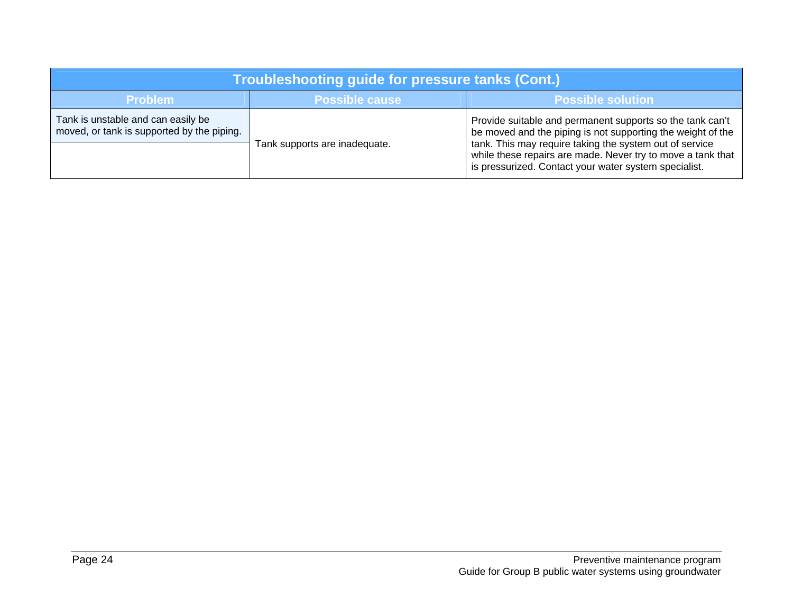| Troubleshooting guide for pressure tanks (Cont.)                                 |                               |                                                                                                                                                                                                                                                                                                             |
|----------------------------------------------------------------------------------|-------------------------------|-------------------------------------------------------------------------------------------------------------------------------------------------------------------------------------------------------------------------------------------------------------------------------------------------------------|
| <b>Problem</b><br><b>Possible solution</b><br><b>Possible cause</b>              |                               |                                                                                                                                                                                                                                                                                                             |
| Tank is unstable and can easily be<br>moved, or tank is supported by the piping. | Tank supports are inadequate. | Provide suitable and permanent supports so the tank can't<br>be moved and the piping is not supporting the weight of the<br>tank. This may require taking the system out of service<br>while these repairs are made. Never try to move a tank that<br>is pressurized. Contact your water system specialist. |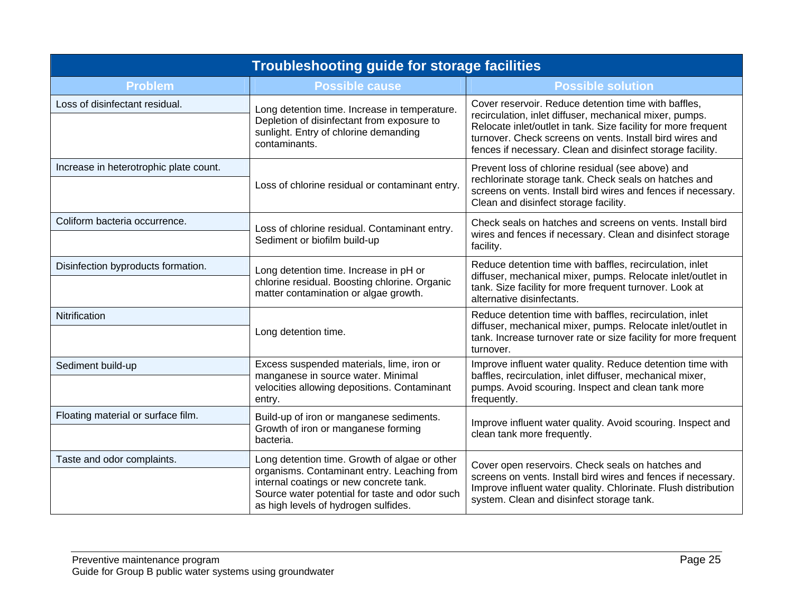| <b>Troubleshooting guide for storage facilities</b> |                                                                                                                                                                                                                                   |                                                                                                                                                                                                                                                                                                             |
|-----------------------------------------------------|-----------------------------------------------------------------------------------------------------------------------------------------------------------------------------------------------------------------------------------|-------------------------------------------------------------------------------------------------------------------------------------------------------------------------------------------------------------------------------------------------------------------------------------------------------------|
| <b>Problem</b>                                      | <b>Possible cause</b>                                                                                                                                                                                                             | <b>Possible solution</b>                                                                                                                                                                                                                                                                                    |
| Loss of disinfectant residual.                      | Long detention time. Increase in temperature.<br>Depletion of disinfectant from exposure to<br>sunlight. Entry of chlorine demanding<br>contaminants.                                                                             | Cover reservoir. Reduce detention time with baffles,<br>recirculation, inlet diffuser, mechanical mixer, pumps.<br>Relocate inlet/outlet in tank. Size facility for more frequent<br>turnover. Check screens on vents. Install bird wires and<br>fences if necessary. Clean and disinfect storage facility. |
| Increase in heterotrophic plate count.              | Loss of chlorine residual or contaminant entry.                                                                                                                                                                                   | Prevent loss of chlorine residual (see above) and<br>rechlorinate storage tank. Check seals on hatches and<br>screens on vents. Install bird wires and fences if necessary.<br>Clean and disinfect storage facility.                                                                                        |
| Coliform bacteria occurrence.                       | Loss of chlorine residual. Contaminant entry.<br>Sediment or biofilm build-up                                                                                                                                                     | Check seals on hatches and screens on vents. Install bird<br>wires and fences if necessary. Clean and disinfect storage<br>facility.                                                                                                                                                                        |
| Disinfection byproducts formation.                  | Long detention time. Increase in pH or<br>chlorine residual. Boosting chlorine. Organic<br>matter contamination or algae growth.                                                                                                  | Reduce detention time with baffles, recirculation, inlet<br>diffuser, mechanical mixer, pumps. Relocate inlet/outlet in<br>tank. Size facility for more frequent turnover. Look at<br>alternative disinfectants.                                                                                            |
| Nitrification                                       | Long detention time.                                                                                                                                                                                                              | Reduce detention time with baffles, recirculation, inlet<br>diffuser, mechanical mixer, pumps. Relocate inlet/outlet in<br>tank. Increase turnover rate or size facility for more frequent<br>turnover.                                                                                                     |
| Sediment build-up                                   | Excess suspended materials, lime, iron or<br>manganese in source water. Minimal<br>velocities allowing depositions. Contaminant<br>entry.                                                                                         | Improve influent water quality. Reduce detention time with<br>baffles, recirculation, inlet diffuser, mechanical mixer,<br>pumps. Avoid scouring. Inspect and clean tank more<br>frequently.                                                                                                                |
| Floating material or surface film.                  | Build-up of iron or manganese sediments.<br>Growth of iron or manganese forming<br>bacteria.                                                                                                                                      | Improve influent water quality. Avoid scouring. Inspect and<br>clean tank more frequently.                                                                                                                                                                                                                  |
| Taste and odor complaints.                          | Long detention time. Growth of algae or other<br>organisms. Contaminant entry. Leaching from<br>internal coatings or new concrete tank.<br>Source water potential for taste and odor such<br>as high levels of hydrogen sulfides. | Cover open reservoirs. Check seals on hatches and<br>screens on vents. Install bird wires and fences if necessary.<br>Improve influent water quality. Chlorinate. Flush distribution<br>system. Clean and disinfect storage tank.                                                                           |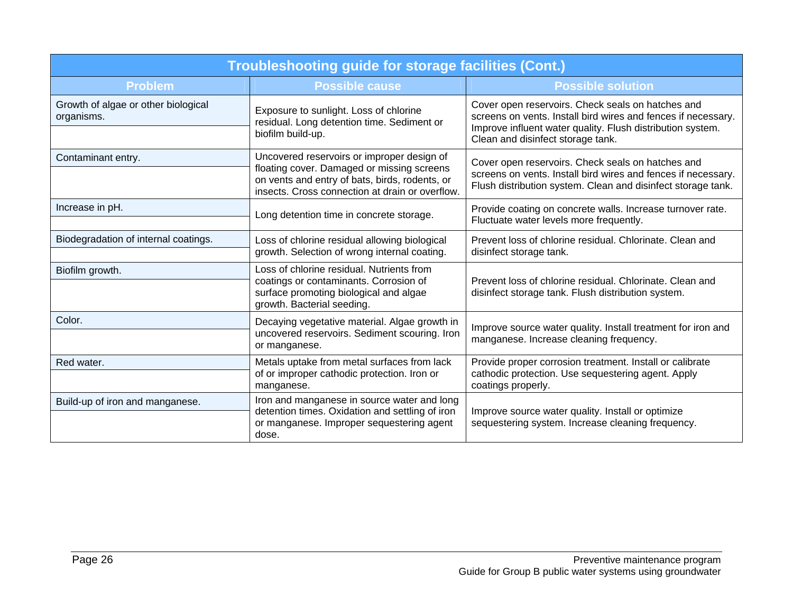| Troubleshooting guide for storage facilities (Cont.) |                                                                                                                                                                                               |                                                                                                                                                                                    |
|------------------------------------------------------|-----------------------------------------------------------------------------------------------------------------------------------------------------------------------------------------------|------------------------------------------------------------------------------------------------------------------------------------------------------------------------------------|
| <b>Problem</b>                                       | <b>Possible cause</b>                                                                                                                                                                         | <b>Possible solution</b>                                                                                                                                                           |
| Growth of algae or other biological<br>organisms.    | Exposure to sunlight. Loss of chlorine<br>residual. Long detention time. Sediment or                                                                                                          | Cover open reservoirs. Check seals on hatches and<br>screens on vents. Install bird wires and fences if necessary.<br>Improve influent water quality. Flush distribution system.   |
|                                                      | biofilm build-up.                                                                                                                                                                             | Clean and disinfect storage tank.                                                                                                                                                  |
| Contaminant entry.                                   | Uncovered reservoirs or improper design of<br>floating cover. Damaged or missing screens<br>on vents and entry of bats, birds, rodents, or<br>insects. Cross connection at drain or overflow. | Cover open reservoirs. Check seals on hatches and<br>screens on vents. Install bird wires and fences if necessary.<br>Flush distribution system. Clean and disinfect storage tank. |
| Increase in pH.                                      | Long detention time in concrete storage.                                                                                                                                                      | Provide coating on concrete walls. Increase turnover rate.<br>Fluctuate water levels more frequently.                                                                              |
| Biodegradation of internal coatings.                 | Loss of chlorine residual allowing biological<br>growth. Selection of wrong internal coating.                                                                                                 | Prevent loss of chlorine residual. Chlorinate. Clean and<br>disinfect storage tank.                                                                                                |
| Biofilm growth.                                      | Loss of chlorine residual. Nutrients from<br>coatings or contaminants. Corrosion of<br>surface promoting biological and algae<br>growth. Bacterial seeding.                                   | Prevent loss of chlorine residual. Chlorinate. Clean and<br>disinfect storage tank. Flush distribution system.                                                                     |
| Color.                                               | Decaying vegetative material. Algae growth in<br>uncovered reservoirs. Sediment scouring. Iron<br>or manganese.                                                                               | Improve source water quality. Install treatment for iron and<br>manganese. Increase cleaning frequency.                                                                            |
| Red water.                                           | Metals uptake from metal surfaces from lack<br>of or improper cathodic protection. Iron or<br>manganese.                                                                                      | Provide proper corrosion treatment. Install or calibrate<br>cathodic protection. Use sequestering agent. Apply<br>coatings properly.                                               |
| Build-up of iron and manganese.                      | Iron and manganese in source water and long<br>detention times. Oxidation and settling of iron<br>or manganese. Improper sequestering agent<br>dose.                                          | Improve source water quality. Install or optimize<br>sequestering system. Increase cleaning frequency.                                                                             |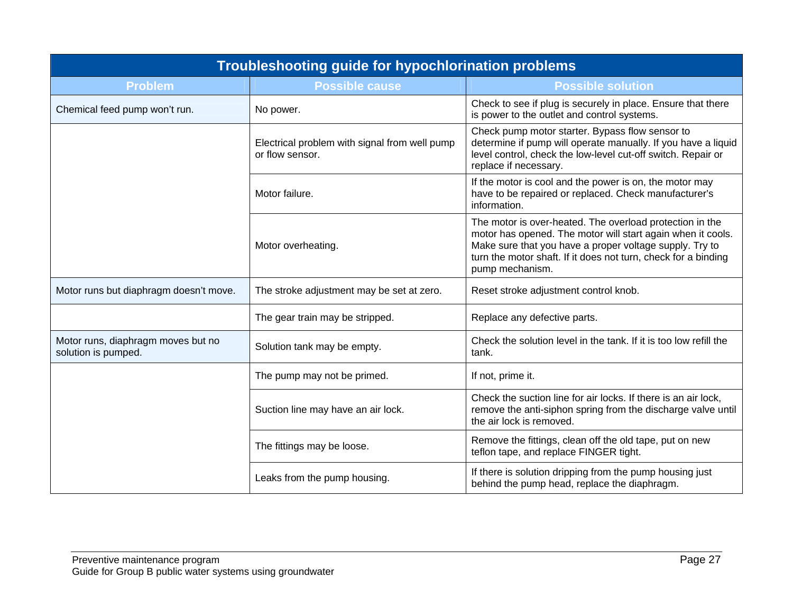| Troubleshooting guide for hypochlorination problems       |                                                                  |                                                                                                                                                                                                                                                                         |
|-----------------------------------------------------------|------------------------------------------------------------------|-------------------------------------------------------------------------------------------------------------------------------------------------------------------------------------------------------------------------------------------------------------------------|
| <b>Problem</b>                                            | <b>Possible cause</b>                                            | <b>Possible solution</b>                                                                                                                                                                                                                                                |
| Chemical feed pump won't run.                             | No power.                                                        | Check to see if plug is securely in place. Ensure that there<br>is power to the outlet and control systems.                                                                                                                                                             |
|                                                           | Electrical problem with signal from well pump<br>or flow sensor. | Check pump motor starter. Bypass flow sensor to<br>determine if pump will operate manually. If you have a liquid<br>level control, check the low-level cut-off switch. Repair or<br>replace if necessary.                                                               |
|                                                           | Motor failure.                                                   | If the motor is cool and the power is on, the motor may<br>have to be repaired or replaced. Check manufacturer's<br>information.                                                                                                                                        |
|                                                           | Motor overheating.                                               | The motor is over-heated. The overload protection in the<br>motor has opened. The motor will start again when it cools.<br>Make sure that you have a proper voltage supply. Try to<br>turn the motor shaft. If it does not turn, check for a binding<br>pump mechanism. |
| Motor runs but diaphragm doesn't move.                    | The stroke adjustment may be set at zero.                        | Reset stroke adjustment control knob.                                                                                                                                                                                                                                   |
|                                                           | The gear train may be stripped.                                  | Replace any defective parts.                                                                                                                                                                                                                                            |
| Motor runs, diaphragm moves but no<br>solution is pumped. | Solution tank may be empty.                                      | Check the solution level in the tank. If it is too low refill the<br>tank.                                                                                                                                                                                              |
|                                                           | The pump may not be primed.                                      | If not, prime it.                                                                                                                                                                                                                                                       |
|                                                           | Suction line may have an air lock.                               | Check the suction line for air locks. If there is an air lock,<br>remove the anti-siphon spring from the discharge valve until<br>the air lock is removed.                                                                                                              |
|                                                           | The fittings may be loose.                                       | Remove the fittings, clean off the old tape, put on new<br>teflon tape, and replace FINGER tight.                                                                                                                                                                       |
|                                                           | Leaks from the pump housing.                                     | If there is solution dripping from the pump housing just<br>behind the pump head, replace the diaphragm.                                                                                                                                                                |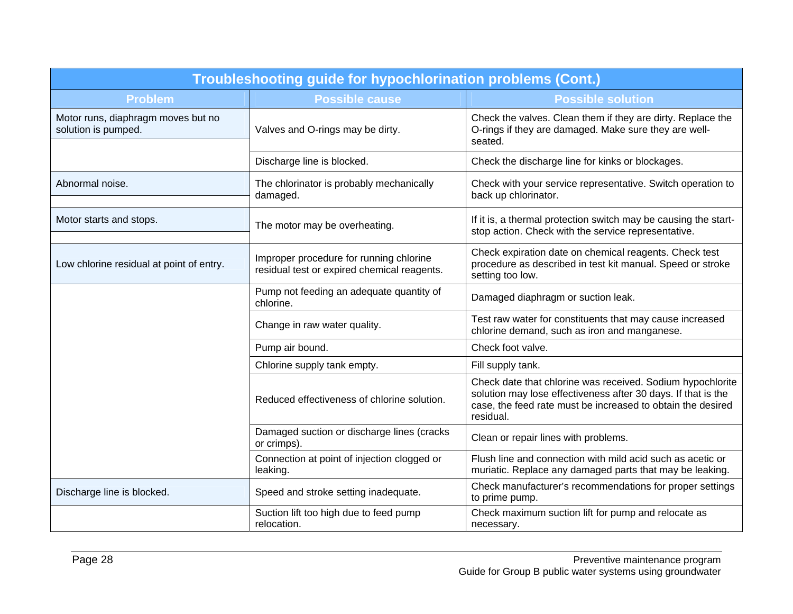| Troubleshooting guide for hypochlorination problems (Cont.) |                                                                                        |                                                                                                                                                                                                         |  |
|-------------------------------------------------------------|----------------------------------------------------------------------------------------|---------------------------------------------------------------------------------------------------------------------------------------------------------------------------------------------------------|--|
| <b>Problem</b>                                              | <b>Possible cause</b>                                                                  | <b>Possible solution</b>                                                                                                                                                                                |  |
| Motor runs, diaphragm moves but no<br>solution is pumped.   | Valves and O-rings may be dirty.                                                       | Check the valves. Clean them if they are dirty. Replace the<br>O-rings if they are damaged. Make sure they are well-<br>seated.                                                                         |  |
|                                                             | Discharge line is blocked.                                                             | Check the discharge line for kinks or blockages.                                                                                                                                                        |  |
| Abnormal noise.                                             | The chlorinator is probably mechanically<br>damaged.                                   | Check with your service representative. Switch operation to<br>back up chlorinator.                                                                                                                     |  |
| Motor starts and stops.                                     | The motor may be overheating.                                                          | If it is, a thermal protection switch may be causing the start-<br>stop action. Check with the service representative.                                                                                  |  |
| Low chlorine residual at point of entry.                    | Improper procedure for running chlorine<br>residual test or expired chemical reagents. | Check expiration date on chemical reagents. Check test<br>procedure as described in test kit manual. Speed or stroke<br>setting too low.                                                                |  |
|                                                             | Pump not feeding an adequate quantity of<br>chlorine.                                  | Damaged diaphragm or suction leak.                                                                                                                                                                      |  |
|                                                             | Change in raw water quality.                                                           | Test raw water for constituents that may cause increased<br>chlorine demand, such as iron and manganese.                                                                                                |  |
|                                                             | Pump air bound.                                                                        | Check foot valve.                                                                                                                                                                                       |  |
|                                                             | Chlorine supply tank empty.                                                            | Fill supply tank.                                                                                                                                                                                       |  |
|                                                             | Reduced effectiveness of chlorine solution.                                            | Check date that chlorine was received. Sodium hypochlorite<br>solution may lose effectiveness after 30 days. If that is the<br>case, the feed rate must be increased to obtain the desired<br>residual. |  |
|                                                             | Damaged suction or discharge lines (cracks<br>or crimps).                              | Clean or repair lines with problems.                                                                                                                                                                    |  |
|                                                             | Connection at point of injection clogged or<br>leaking.                                | Flush line and connection with mild acid such as acetic or<br>muriatic. Replace any damaged parts that may be leaking.                                                                                  |  |
| Discharge line is blocked.                                  | Speed and stroke setting inadequate.                                                   | Check manufacturer's recommendations for proper settings<br>to prime pump.                                                                                                                              |  |
|                                                             | Suction lift too high due to feed pump<br>relocation.                                  | Check maximum suction lift for pump and relocate as<br>necessary.                                                                                                                                       |  |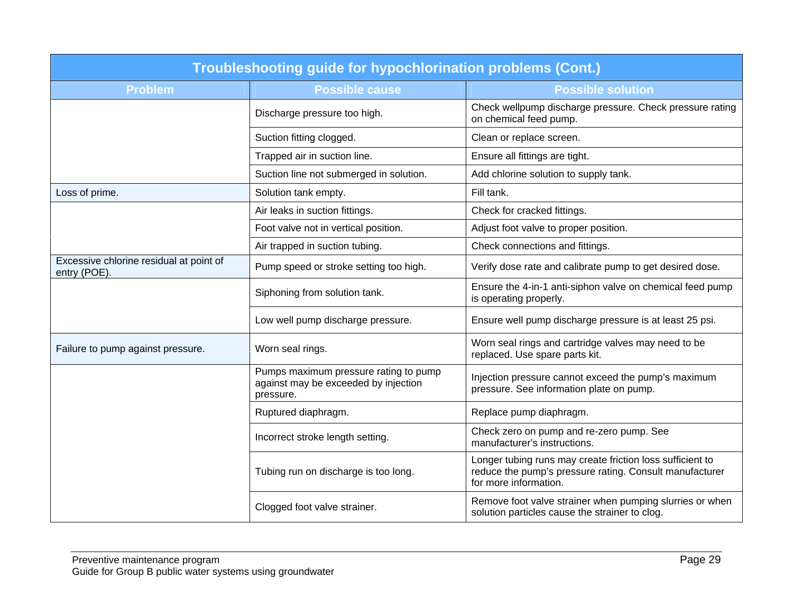| <b>Troubleshooting guide for hypochlorination problems (Cont.)</b> |                                                                                            |                                                                                                                                               |  |
|--------------------------------------------------------------------|--------------------------------------------------------------------------------------------|-----------------------------------------------------------------------------------------------------------------------------------------------|--|
| <b>Problem</b>                                                     | <b>Possible cause</b>                                                                      | <b>Possible solution</b>                                                                                                                      |  |
|                                                                    | Discharge pressure too high.                                                               | Check wellpump discharge pressure. Check pressure rating<br>on chemical feed pump.                                                            |  |
|                                                                    | Suction fitting clogged.                                                                   | Clean or replace screen.                                                                                                                      |  |
|                                                                    | Trapped air in suction line.                                                               | Ensure all fittings are tight.                                                                                                                |  |
|                                                                    | Suction line not submerged in solution.                                                    | Add chlorine solution to supply tank.                                                                                                         |  |
| Loss of prime.                                                     | Solution tank empty.                                                                       | Fill tank.                                                                                                                                    |  |
|                                                                    | Air leaks in suction fittings.                                                             | Check for cracked fittings.                                                                                                                   |  |
|                                                                    | Foot valve not in vertical position.                                                       | Adjust foot valve to proper position.                                                                                                         |  |
|                                                                    | Air trapped in suction tubing.                                                             | Check connections and fittings.                                                                                                               |  |
| Excessive chlorine residual at point of<br>entry (POE).            | Pump speed or stroke setting too high.                                                     | Verify dose rate and calibrate pump to get desired dose.                                                                                      |  |
|                                                                    | Siphoning from solution tank.                                                              | Ensure the 4-in-1 anti-siphon valve on chemical feed pump<br>is operating properly.                                                           |  |
|                                                                    | Low well pump discharge pressure.                                                          | Ensure well pump discharge pressure is at least 25 psi.                                                                                       |  |
| Failure to pump against pressure.                                  | Worn seal rings.                                                                           | Worn seal rings and cartridge valves may need to be<br>replaced. Use spare parts kit.                                                         |  |
|                                                                    | Pumps maximum pressure rating to pump<br>against may be exceeded by injection<br>pressure. | Injection pressure cannot exceed the pump's maximum<br>pressure. See information plate on pump.                                               |  |
|                                                                    | Ruptured diaphragm.                                                                        | Replace pump diaphragm.                                                                                                                       |  |
|                                                                    | Incorrect stroke length setting.                                                           | Check zero on pump and re-zero pump. See<br>manufacturer's instructions.                                                                      |  |
|                                                                    | Tubing run on discharge is too long.                                                       | Longer tubing runs may create friction loss sufficient to<br>reduce the pump's pressure rating. Consult manufacturer<br>for more information. |  |
|                                                                    | Clogged foot valve strainer.                                                               | Remove foot valve strainer when pumping slurries or when<br>solution particles cause the strainer to clog.                                    |  |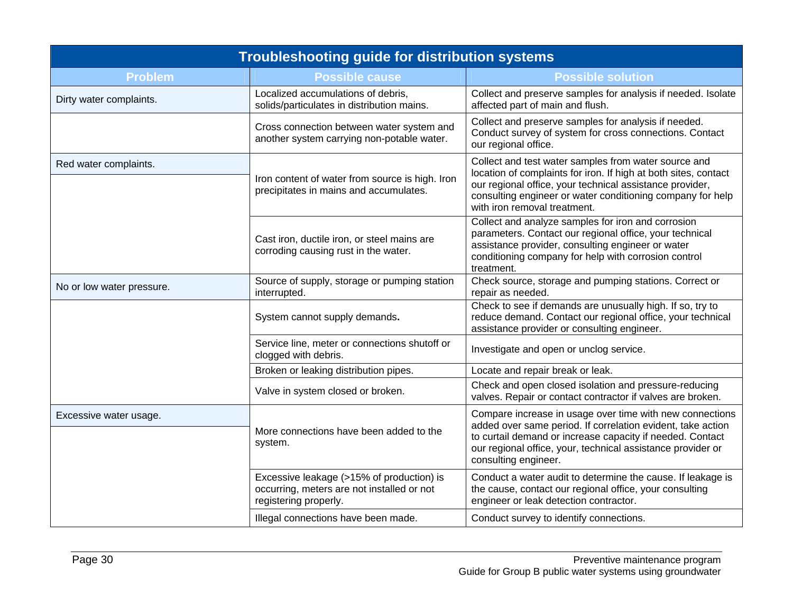| <b>Troubleshooting guide for distribution systems</b> |                                                                                                                  |                                                                                                                                                                                                                                                                                   |  |
|-------------------------------------------------------|------------------------------------------------------------------------------------------------------------------|-----------------------------------------------------------------------------------------------------------------------------------------------------------------------------------------------------------------------------------------------------------------------------------|--|
| <b>Problem</b>                                        | <b>Possible cause</b>                                                                                            | <b>Possible solution</b>                                                                                                                                                                                                                                                          |  |
| Dirty water complaints.                               | Localized accumulations of debris,<br>solids/particulates in distribution mains.                                 | Collect and preserve samples for analysis if needed. Isolate<br>affected part of main and flush.                                                                                                                                                                                  |  |
|                                                       | Cross connection between water system and<br>another system carrying non-potable water.                          | Collect and preserve samples for analysis if needed.<br>Conduct survey of system for cross connections. Contact<br>our regional office.                                                                                                                                           |  |
| Red water complaints.                                 | Iron content of water from source is high. Iron<br>precipitates in mains and accumulates.                        | Collect and test water samples from water source and<br>location of complaints for iron. If high at both sites, contact<br>our regional office, your technical assistance provider,<br>consulting engineer or water conditioning company for help<br>with iron removal treatment. |  |
|                                                       | Cast iron, ductile iron, or steel mains are<br>corroding causing rust in the water.                              | Collect and analyze samples for iron and corrosion<br>parameters. Contact our regional office, your technical<br>assistance provider, consulting engineer or water<br>conditioning company for help with corrosion control<br>treatment.                                          |  |
| No or low water pressure.                             | Source of supply, storage or pumping station<br>interrupted.                                                     | Check source, storage and pumping stations. Correct or<br>repair as needed.                                                                                                                                                                                                       |  |
|                                                       | System cannot supply demands.                                                                                    | Check to see if demands are unusually high. If so, try to<br>reduce demand. Contact our regional office, your technical<br>assistance provider or consulting engineer.                                                                                                            |  |
|                                                       | Service line, meter or connections shutoff or<br>clogged with debris.                                            | Investigate and open or unclog service.                                                                                                                                                                                                                                           |  |
|                                                       | Broken or leaking distribution pipes.                                                                            | Locate and repair break or leak.                                                                                                                                                                                                                                                  |  |
|                                                       | Valve in system closed or broken.                                                                                | Check and open closed isolation and pressure-reducing<br>valves. Repair or contact contractor if valves are broken.                                                                                                                                                               |  |
| Excessive water usage.                                | More connections have been added to the                                                                          | Compare increase in usage over time with new connections<br>added over same period. If correlation evident, take action                                                                                                                                                           |  |
|                                                       | system.                                                                                                          | to curtail demand or increase capacity if needed. Contact<br>our regional office, your, technical assistance provider or<br>consulting engineer.                                                                                                                                  |  |
|                                                       | Excessive leakage (>15% of production) is<br>occurring, meters are not installed or not<br>registering properly. | Conduct a water audit to determine the cause. If leakage is<br>the cause, contact our regional office, your consulting<br>engineer or leak detection contractor.                                                                                                                  |  |
|                                                       | Illegal connections have been made.                                                                              | Conduct survey to identify connections.                                                                                                                                                                                                                                           |  |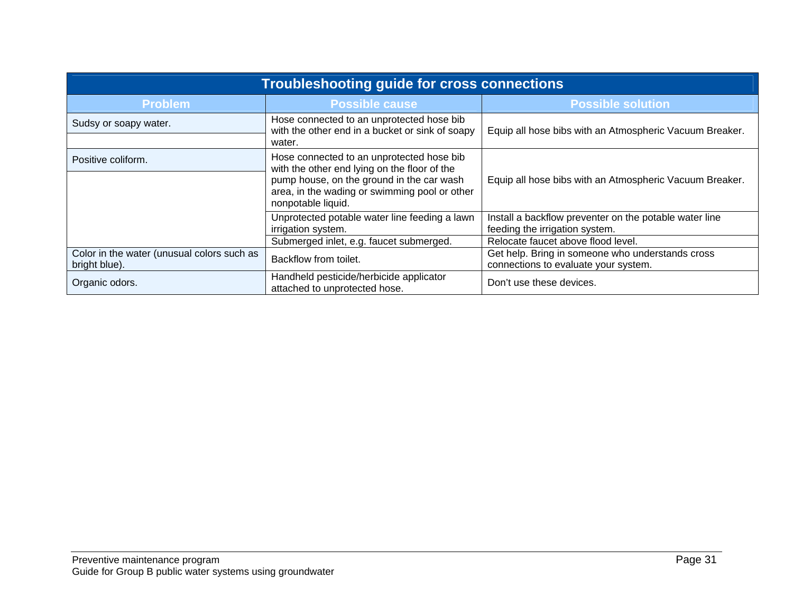| <b>Troubleshooting guide for cross connections</b>          |                                                                                                                  |                                                                                          |  |
|-------------------------------------------------------------|------------------------------------------------------------------------------------------------------------------|------------------------------------------------------------------------------------------|--|
| <b>Problem</b>                                              | <b>Possible cause</b>                                                                                            | <b>Possible solution</b>                                                                 |  |
| Sudsy or soapy water.                                       | Hose connected to an unprotected hose bib<br>with the other end in a bucket or sink of soapy<br>water.           | Equip all hose bibs with an Atmospheric Vacuum Breaker.                                  |  |
| Positive coliform.                                          | Hose connected to an unprotected hose bib<br>with the other end lying on the floor of the                        |                                                                                          |  |
|                                                             | pump house, on the ground in the car wash<br>area, in the wading or swimming pool or other<br>nonpotable liquid. | Equip all hose bibs with an Atmospheric Vacuum Breaker.                                  |  |
|                                                             | Unprotected potable water line feeding a lawn<br>irrigation system.                                              | Install a backflow preventer on the potable water line<br>feeding the irrigation system. |  |
|                                                             | Submerged inlet, e.g. faucet submerged.                                                                          | Relocate faucet above flood level.                                                       |  |
| Color in the water (unusual colors such as<br>bright blue). | Backflow from toilet.                                                                                            | Get help. Bring in someone who understands cross<br>connections to evaluate your system. |  |
| Organic odors.                                              | Handheld pesticide/herbicide applicator<br>attached to unprotected hose.                                         | Don't use these devices.                                                                 |  |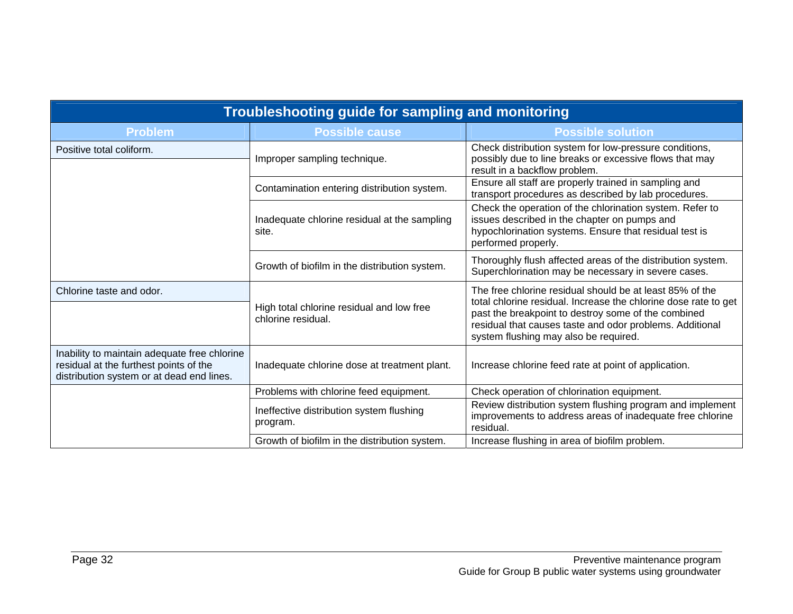| Troubleshooting guide for sampling and monitoring                                                                                   |                                                                 |                                                                                                                                                                                                                                                                                         |  |
|-------------------------------------------------------------------------------------------------------------------------------------|-----------------------------------------------------------------|-----------------------------------------------------------------------------------------------------------------------------------------------------------------------------------------------------------------------------------------------------------------------------------------|--|
| <b>Problem</b>                                                                                                                      | <b>Possible cause</b>                                           | <b>Possible solution</b>                                                                                                                                                                                                                                                                |  |
| Positive total coliform.                                                                                                            | Improper sampling technique.                                    | Check distribution system for low-pressure conditions,<br>possibly due to line breaks or excessive flows that may<br>result in a backflow problem.                                                                                                                                      |  |
|                                                                                                                                     | Contamination entering distribution system.                     | Ensure all staff are properly trained in sampling and<br>transport procedures as described by lab procedures.                                                                                                                                                                           |  |
|                                                                                                                                     | Inadequate chlorine residual at the sampling<br>site.           | Check the operation of the chlorination system. Refer to<br>issues described in the chapter on pumps and<br>hypochlorination systems. Ensure that residual test is<br>performed properly.                                                                                               |  |
|                                                                                                                                     | Growth of biofilm in the distribution system.                   | Thoroughly flush affected areas of the distribution system.<br>Superchlorination may be necessary in severe cases.                                                                                                                                                                      |  |
| Chlorine taste and odor.                                                                                                            | High total chlorine residual and low free<br>chlorine residual. | The free chlorine residual should be at least 85% of the<br>total chlorine residual. Increase the chlorine dose rate to get<br>past the breakpoint to destroy some of the combined<br>residual that causes taste and odor problems. Additional<br>system flushing may also be required. |  |
| Inability to maintain adequate free chlorine<br>residual at the furthest points of the<br>distribution system or at dead end lines. | Inadequate chlorine dose at treatment plant.                    | Increase chlorine feed rate at point of application.                                                                                                                                                                                                                                    |  |
|                                                                                                                                     | Problems with chlorine feed equipment.                          | Check operation of chlorination equipment.                                                                                                                                                                                                                                              |  |
|                                                                                                                                     | Ineffective distribution system flushing<br>program.            | Review distribution system flushing program and implement<br>improvements to address areas of inadequate free chlorine<br>residual.                                                                                                                                                     |  |
|                                                                                                                                     | Growth of biofilm in the distribution system.                   | Increase flushing in area of biofilm problem.                                                                                                                                                                                                                                           |  |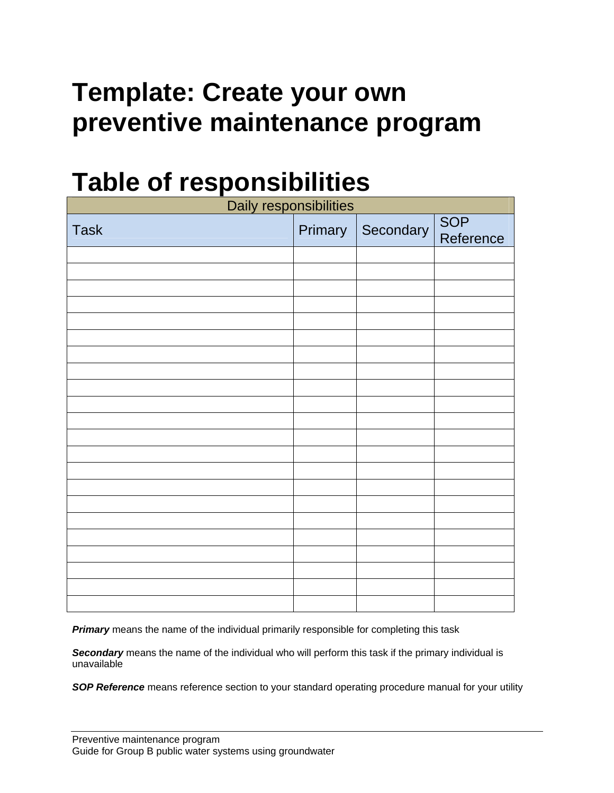## **Template: Create your own preventive maintenance program**

## **Table of responsibilities**

| Daily responsibilities |  |                   |                         |
|------------------------|--|-------------------|-------------------------|
| <b>Task</b>            |  | Primary Secondary | <b>SOP</b><br>Reference |
|                        |  |                   |                         |
|                        |  |                   |                         |
|                        |  |                   |                         |
|                        |  |                   |                         |
|                        |  |                   |                         |
|                        |  |                   |                         |
|                        |  |                   |                         |
|                        |  |                   |                         |
|                        |  |                   |                         |
|                        |  |                   |                         |
|                        |  |                   |                         |
|                        |  |                   |                         |
|                        |  |                   |                         |
|                        |  |                   |                         |
|                        |  |                   |                         |
|                        |  |                   |                         |
|                        |  |                   |                         |
|                        |  |                   |                         |
|                        |  |                   |                         |
|                        |  |                   |                         |
|                        |  |                   |                         |
|                        |  |                   |                         |

**Primary** means the name of the individual primarily responsible for completing this task

*Secondary* means the name of the individual who will perform this task if the primary individual is unavailable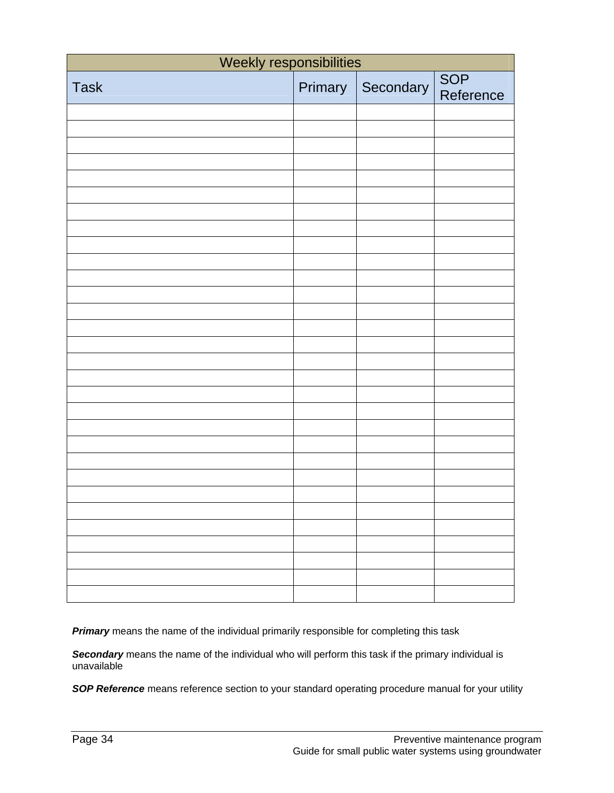| Weekly responsibilities |         |           |                         |
|-------------------------|---------|-----------|-------------------------|
| <b>Task</b>             | Primary | Secondary | <b>SOP</b><br>Reference |
|                         |         |           |                         |
|                         |         |           |                         |
|                         |         |           |                         |
|                         |         |           |                         |
|                         |         |           |                         |
|                         |         |           |                         |
|                         |         |           |                         |
|                         |         |           |                         |
|                         |         |           |                         |
|                         |         |           |                         |
|                         |         |           |                         |
|                         |         |           |                         |
|                         |         |           |                         |
|                         |         |           |                         |
|                         |         |           |                         |
|                         |         |           |                         |
|                         |         |           |                         |
|                         |         |           |                         |
|                         |         |           |                         |
|                         |         |           |                         |
|                         |         |           |                         |
|                         |         |           |                         |
|                         |         |           |                         |
|                         |         |           |                         |
|                         |         |           |                         |
|                         |         |           |                         |
|                         |         |           |                         |
|                         |         |           |                         |
|                         |         |           |                         |
|                         |         |           |                         |

*Secondary* means the name of the individual who will perform this task if the primary individual is unavailable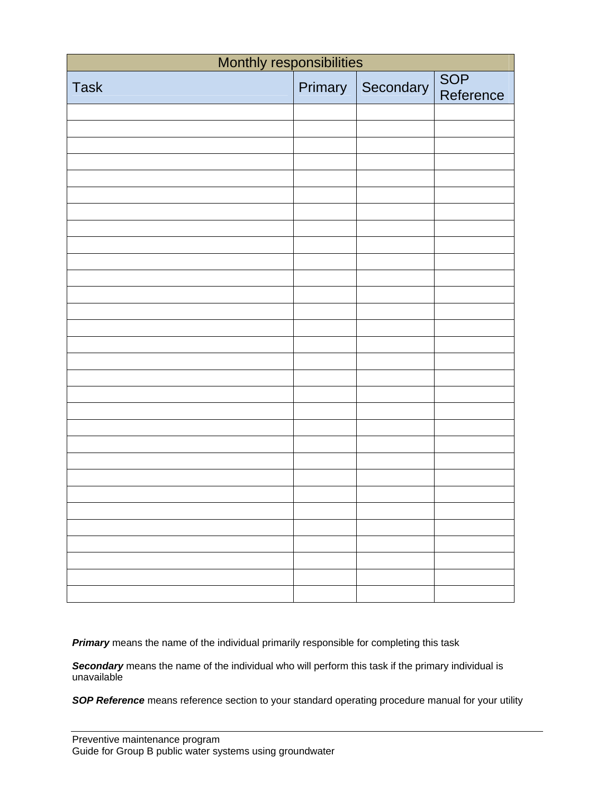| Monthly responsibilities |         |           |                  |
|--------------------------|---------|-----------|------------------|
| <b>Task</b>              | Primary | Secondary | SOP<br>Reference |
|                          |         |           |                  |
|                          |         |           |                  |
|                          |         |           |                  |
|                          |         |           |                  |
|                          |         |           |                  |
|                          |         |           |                  |
|                          |         |           |                  |
|                          |         |           |                  |
|                          |         |           |                  |
|                          |         |           |                  |
|                          |         |           |                  |
|                          |         |           |                  |
|                          |         |           |                  |
|                          |         |           |                  |
|                          |         |           |                  |
|                          |         |           |                  |
|                          |         |           |                  |
|                          |         |           |                  |
|                          |         |           |                  |
|                          |         |           |                  |
|                          |         |           |                  |
|                          |         |           |                  |
|                          |         |           |                  |
|                          |         |           |                  |
|                          |         |           |                  |
|                          |         |           |                  |
|                          |         |           |                  |
|                          |         |           |                  |
|                          |         |           |                  |
|                          |         |           |                  |

*Secondary* means the name of the individual who will perform this task if the primary individual is unavailable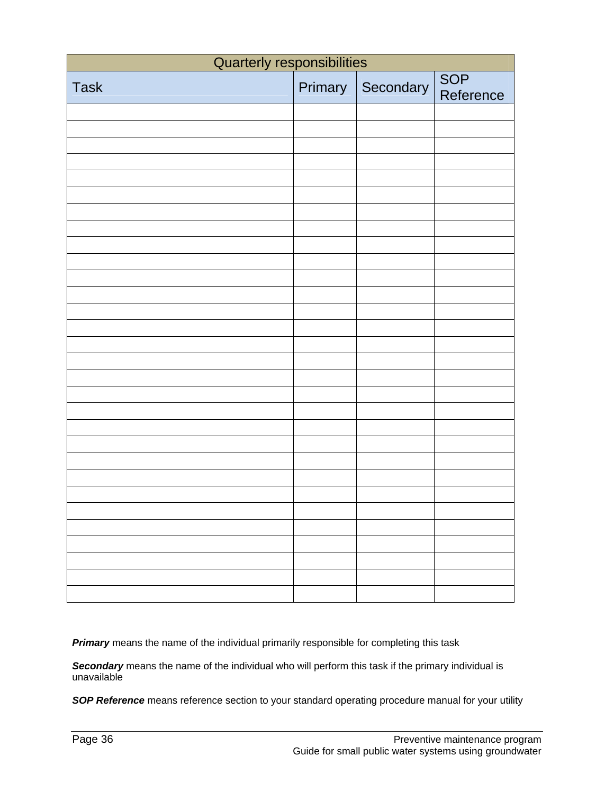| <b>Quarterly responsibilities</b> |         |           |                         |
|-----------------------------------|---------|-----------|-------------------------|
| <b>Task</b>                       | Primary | Secondary | <b>SOP</b><br>Reference |
|                                   |         |           |                         |
|                                   |         |           |                         |
|                                   |         |           |                         |
|                                   |         |           |                         |
|                                   |         |           |                         |
|                                   |         |           |                         |
|                                   |         |           |                         |
|                                   |         |           |                         |
|                                   |         |           |                         |
|                                   |         |           |                         |
|                                   |         |           |                         |
|                                   |         |           |                         |
|                                   |         |           |                         |
|                                   |         |           |                         |
|                                   |         |           |                         |
|                                   |         |           |                         |
|                                   |         |           |                         |
|                                   |         |           |                         |
|                                   |         |           |                         |
|                                   |         |           |                         |
|                                   |         |           |                         |
|                                   |         |           |                         |
|                                   |         |           |                         |
|                                   |         |           |                         |
|                                   |         |           |                         |
|                                   |         |           |                         |
|                                   |         |           |                         |
|                                   |         |           |                         |
|                                   |         |           |                         |
|                                   |         |           |                         |

*Secondary* means the name of the individual who will perform this task if the primary individual is unavailable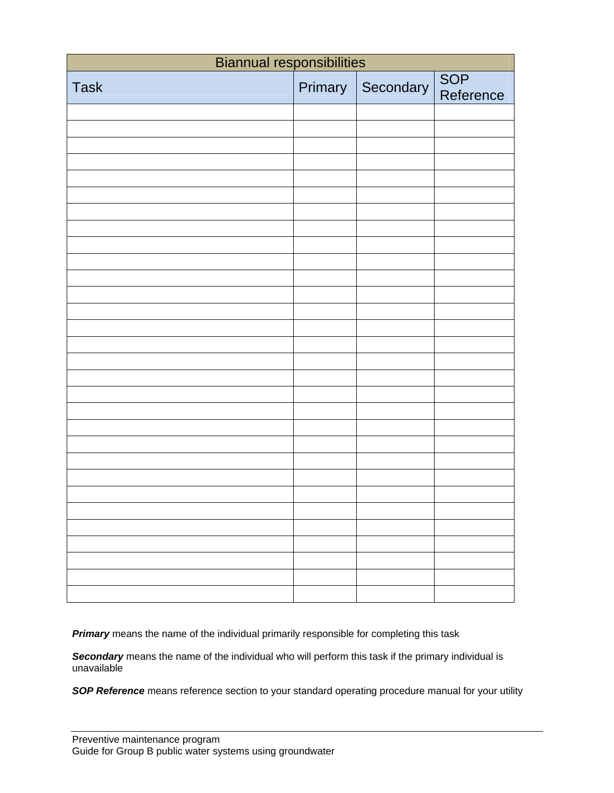| <b>Biannual responsibilities</b> |         |           |                  |
|----------------------------------|---------|-----------|------------------|
| <b>Task</b>                      | Primary | Secondary | SOP<br>Reference |
|                                  |         |           |                  |
|                                  |         |           |                  |
|                                  |         |           |                  |
|                                  |         |           |                  |
|                                  |         |           |                  |
|                                  |         |           |                  |
|                                  |         |           |                  |
|                                  |         |           |                  |
|                                  |         |           |                  |
|                                  |         |           |                  |
|                                  |         |           |                  |
|                                  |         |           |                  |
|                                  |         |           |                  |
|                                  |         |           |                  |
|                                  |         |           |                  |
|                                  |         |           |                  |
|                                  |         |           |                  |
|                                  |         |           |                  |
|                                  |         |           |                  |
|                                  |         |           |                  |
|                                  |         |           |                  |
|                                  |         |           |                  |
|                                  |         |           |                  |
|                                  |         |           |                  |
|                                  |         |           |                  |
|                                  |         |           |                  |
|                                  |         |           |                  |
|                                  |         |           |                  |
|                                  |         |           |                  |
|                                  |         |           |                  |

*Secondary* means the name of the individual who will perform this task if the primary individual is unavailable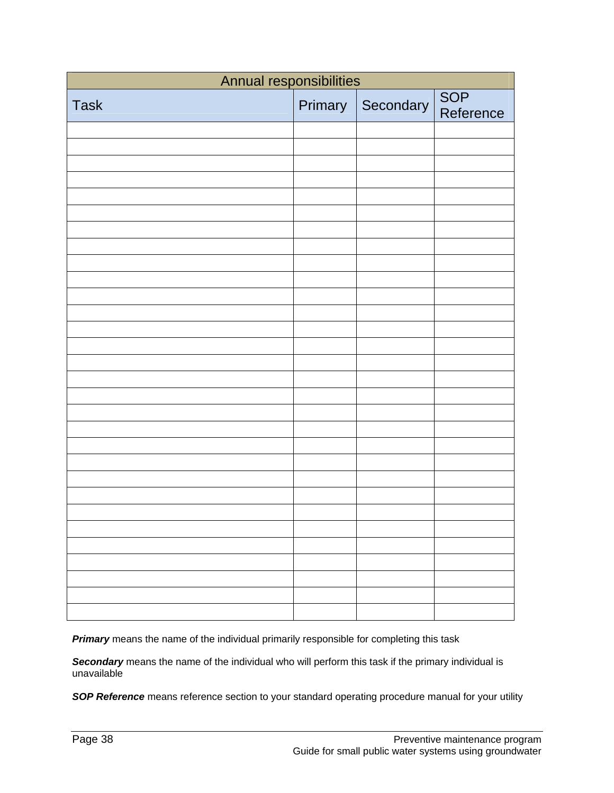| Annual responsibilities |         |           |                  |
|-------------------------|---------|-----------|------------------|
| <b>Task</b>             | Primary | Secondary | SOP<br>Reference |
|                         |         |           |                  |
|                         |         |           |                  |
|                         |         |           |                  |
|                         |         |           |                  |
|                         |         |           |                  |
|                         |         |           |                  |
|                         |         |           |                  |
|                         |         |           |                  |
|                         |         |           |                  |
|                         |         |           |                  |
|                         |         |           |                  |
|                         |         |           |                  |
|                         |         |           |                  |
|                         |         |           |                  |
|                         |         |           |                  |
|                         |         |           |                  |
|                         |         |           |                  |
|                         |         |           |                  |
|                         |         |           |                  |
|                         |         |           |                  |
|                         |         |           |                  |
|                         |         |           |                  |
|                         |         |           |                  |
|                         |         |           |                  |
|                         |         |           |                  |
|                         |         |           |                  |
|                         |         |           |                  |
|                         |         |           |                  |
|                         |         |           |                  |
|                         |         |           |                  |

*Secondary* means the name of the individual who will perform this task if the primary individual is unavailable